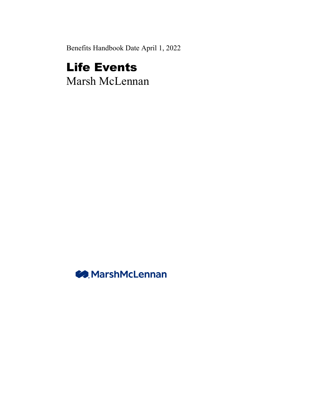Benefits Handbook Date April 1, 2022

# Life Events Marsh McLennan

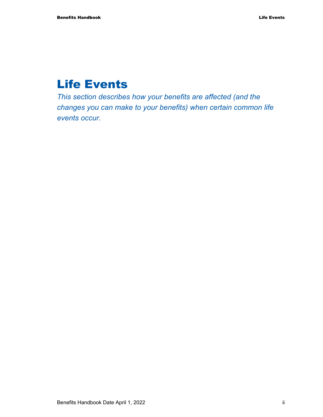# Life Events

*This section describes how your benefits are affected (and the changes you can make to your benefits) when certain common life events occur.*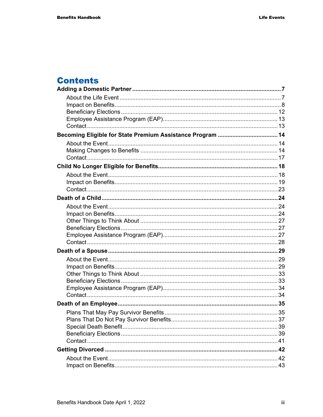## **Contents**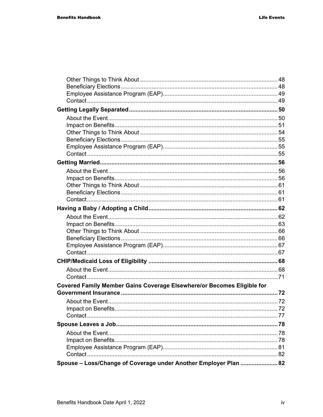| Covered Family Member Gains Coverage Elsewhere/or Becomes Eligible for |  |
|------------------------------------------------------------------------|--|
|                                                                        |  |
|                                                                        |  |
|                                                                        |  |
|                                                                        |  |
|                                                                        |  |
|                                                                        |  |
|                                                                        |  |
|                                                                        |  |
|                                                                        |  |
| Spouse - Loss/Change of Coverage under Another Employer Plan  82       |  |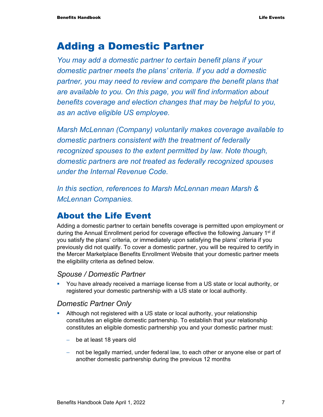## Adding a Domestic Partner

*You may add a domestic partner to certain benefit plans if your domestic partner meets the plans' criteria. If you add a domestic partner, you may need to review and compare the benefit plans that are available to you. On this page, you will find information about benefits coverage and election changes that may be helpful to you, as an active eligible US employee.* 

*Marsh McLennan (Company) voluntarily makes coverage available to domestic partners consistent with the treatment of federally recognized spouses to the extent permitted by law. Note though, domestic partners are not treated as federally recognized spouses under the Internal Revenue Code.* 

*In this section, references to Marsh McLennan mean Marsh & McLennan Companies.* 

### About the Life Event

Adding a domestic partner to certain benefits coverage is permitted upon employment or during the Annual Enrollment period for coverage effective the following January  $1<sup>st</sup>$  if you satisfy the plans' criteria, or immediately upon satisfying the plans' criteria if you previously did not qualify. To cover a domestic partner, you will be required to certify in the Mercer Marketplace Benefits Enrollment Website that your domestic partner meets the eligibility criteria as defined below.

### *Spouse / Domestic Partner*

**• You have already received a marriage license from a US state or local authority, or** registered your domestic partnership with a US state or local authority.

#### *Domestic Partner Only*

- Although not registered with a US state or local authority, your relationship constitutes an eligible domestic partnership. To establish that your relationship constitutes an eligible domestic partnership you and your domestic partner must:
	- − be at least 18 years old
	- − not be legally married, under federal law, to each other or anyone else or part of another domestic partnership during the previous 12 months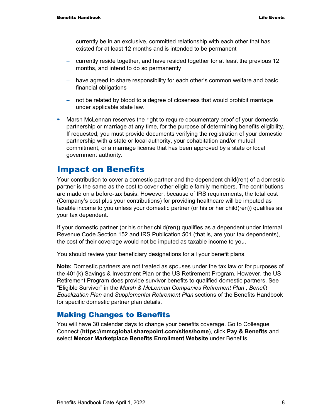- − currently be in an exclusive, committed relationship with each other that has existed for at least 12 months and is intended to be permanent
- − currently reside together, and have resided together for at least the previous 12 months, and intend to do so permanently
- − have agreed to share responsibility for each other's common welfare and basic financial obligations
- − not be related by blood to a degree of closeness that would prohibit marriage under applicable state law.
- Marsh McLennan reserves the right to require documentary proof of your domestic partnership or marriage at any time, for the purpose of determining benefits eligibility. If requested, you must provide documents verifying the registration of your domestic partnership with a state or local authority, your cohabitation and/or mutual commitment, or a marriage license that has been approved by a state or local government authority.

### Impact on Benefits

Your contribution to cover a domestic partner and the dependent child(ren) of a domestic partner is the same as the cost to cover other eligible family members. The contributions are made on a before-tax basis. However, because of IRS requirements, the total cost (Company's cost plus your contributions) for providing healthcare will be imputed as taxable income to you unless your domestic partner (or his or her child(ren)) qualifies as your tax dependent.

If your domestic partner (or his or her child(ren)) qualifies as a dependent under Internal Revenue Code Section 152 and IRS Publication 501 (that is, are your tax dependents), the cost of their coverage would not be imputed as taxable income to you.

You should review your beneficiary designations for all your benefit plans.

**Note:** Domestic partners are not treated as spouses under the tax law or for purposes of the 401(k) Savings & Investment Plan or the US Retirement Program. However, the US Retirement Program does provide survivor benefits to qualified domestic partners. See "Eligible Survivor" in the *Marsh & McLennan Companies Retirement Plan , Benefit Equalization Plan* and *Supplemental Retirement Plan* sections of the Benefits Handbook for specific domestic partner plan details.

### Making Changes to Benefits

You will have 30 calendar days to change your benefits coverage. Go to Colleague Connect (**https://mmcglobal.sharepoint.com/sites/home**), click **Pay & Benefits** and select **Mercer Marketplace Benefits Enrollment Website** under Benefits.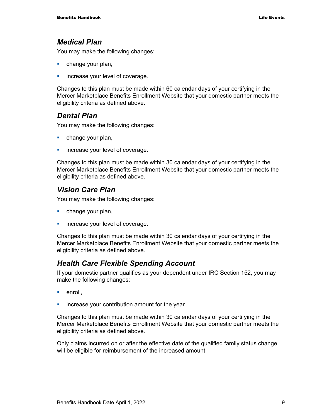#### *Medical Plan*

You may make the following changes:

- **change your plan,**
- **increase your level of coverage.**

Changes to this plan must be made within 60 calendar days of your certifying in the Mercer Marketplace Benefits Enrollment Website that your domestic partner meets the eligibility criteria as defined above.

### *Dental Plan*

You may make the following changes:

- **change your plan,**
- **increase your level of coverage.**

Changes to this plan must be made within 30 calendar days of your certifying in the Mercer Marketplace Benefits Enrollment Website that your domestic partner meets the eligibility criteria as defined above.

### *Vision Care Plan*

You may make the following changes:

- **change your plan,**
- **increase your level of coverage.**

Changes to this plan must be made within 30 calendar days of your certifying in the Mercer Marketplace Benefits Enrollment Website that your domestic partner meets the eligibility criteria as defined above.

### *Health Care Flexible Spending Account*

If your domestic partner qualifies as your dependent under IRC Section 152, you may make the following changes:

- **enroll**.
- **EXEC** increase your contribution amount for the year.

Changes to this plan must be made within 30 calendar days of your certifying in the Mercer Marketplace Benefits Enrollment Website that your domestic partner meets the eligibility criteria as defined above.

Only claims incurred on or after the effective date of the qualified family status change will be eligible for reimbursement of the increased amount.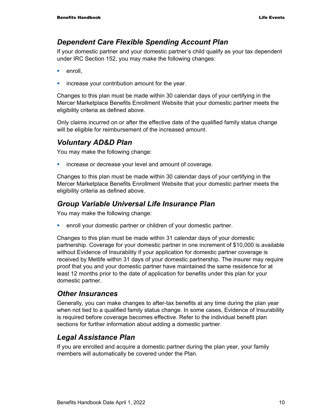### *Dependent Care Flexible Spending Account Plan*

If your domestic partner and your domestic partner's child qualify as your tax dependent under IRC Section 152, you may make the following changes:

- enroll,
- **EXEC** increase your contribution amount for the year.

Changes to this plan must be made within 30 calendar days of your certifying in the Mercer Marketplace Benefits Enrollment Website that your domestic partner meets the eligibility criteria as defined above.

Only claims incurred on or after the effective date of the qualified family status change will be eligible for reimbursement of the increased amount.

### *Voluntary AD&D Plan*

You may make the following change:

**EXEDEE A** increase or decrease your level and amount of coverage.

Changes to this plan must be made within 30 calendar days of your certifying in the Mercer Marketplace Benefits Enrollment Website that your domestic partner meets the eligibility criteria as defined above.

### *Group Variable Universal Life Insurance Plan*

You may make the following change:

**EXECT** enroll your domestic partner or children of your domestic partner.

Changes to this plan must be made within 31 calendar days of your domestic partnership. Coverage for your domestic partner in one increment of \$10,000 is available without Evidence of Insurability if your application for domestic partner coverage is received by Metlife within 31 days of your domestic partnership. The insurer may require proof that you and your domestic partner have maintained the same residence for at least 12 months prior to the date of application for benefits under this plan for your domestic partner.

### *Other Insurances*

Generally, you can make changes to after-tax benefits at any time during the plan year when not tied to a qualified family status change. In some cases, Evidence of Insurability is required before coverage becomes effective. Refer to the individual benefit plan sections for further information about adding a domestic partner.

### *Legal Assistance Plan*

If you are enrolled and acquire a domestic partner during the plan year, your family members will automatically be covered under the Plan.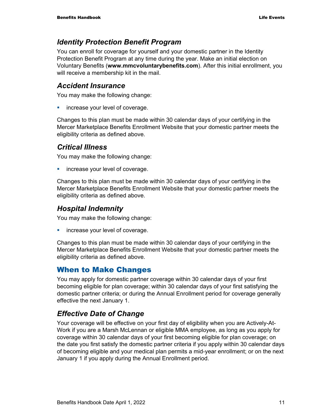### *Identity Protection Benefit Program*

You can enroll for coverage for yourself and your domestic partner in the Identity Protection Benefit Program at any time during the year. Make an initial election on Voluntary Benefits (**www.mmcvoluntarybenefits.com**). After this initial enrollment, you will receive a membership kit in the mail.

### *Accident Insurance*

You may make the following change:

**increase your level of coverage.** 

Changes to this plan must be made within 30 calendar days of your certifying in the Mercer Marketplace Benefits Enrollment Website that your domestic partner meets the eligibility criteria as defined above.

### *Critical Illness*

You may make the following change:

**increase your level of coverage.** 

Changes to this plan must be made within 30 calendar days of your certifying in the Mercer Marketplace Benefits Enrollment Website that your domestic partner meets the eligibility criteria as defined above.

### *Hospital Indemnity*

You may make the following change:

**increase your level of coverage.** 

Changes to this plan must be made within 30 calendar days of your certifying in the Mercer Marketplace Benefits Enrollment Website that your domestic partner meets the eligibility criteria as defined above.

### When to Make Changes

You may apply for domestic partner coverage within 30 calendar days of your first becoming eligible for plan coverage; within 30 calendar days of your first satisfying the domestic partner criteria; or during the Annual Enrollment period for coverage generally effective the next January 1.

### *Effective Date of Change*

Your coverage will be effective on your first day of eligibility when you are Actively-At-Work if you are a Marsh McLennan or eligible MMA employee, as long as you apply for coverage within 30 calendar days of your first becoming eligible for plan coverage; on the date you first satisfy the domestic partner criteria if you apply within 30 calendar days of becoming eligible and your medical plan permits a mid-year enrollment; or on the next January 1 if you apply during the Annual Enrollment period.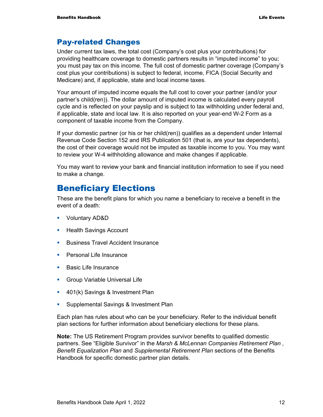### Pay-related Changes

Under current tax laws, the total cost (Company's cost plus your contributions) for providing healthcare coverage to domestic partners results in "imputed income" to you; you must pay tax on this income. The full cost of domestic partner coverage (Company's cost plus your contributions) is subject to federal, income, FICA (Social Security and Medicare) and, if applicable, state and local income taxes.

Your amount of imputed income equals the full cost to cover your partner (and/or your partner's child(ren)). The dollar amount of imputed income is calculated every payroll cycle and is reflected on your payslip and is subject to tax withholding under federal and, if applicable, state and local law. It is also reported on your year-end W-2 Form as a component of taxable income from the Company.

If your domestic partner (or his or her child(ren)) qualifies as a dependent under Internal Revenue Code Section 152 and IRS Publication 501 (that is, are your tax dependents), the cost of their coverage would not be imputed as taxable income to you. You may want to review your W-4 withholding allowance and make changes if applicable.

You may want to review your bank and financial institution information to see if you need to make a change.

### Beneficiary Elections

These are the benefit plans for which you name a beneficiary to receive a benefit in the event of a death:

- Voluntary AD&D
- **Health Savings Account**
- **Business Travel Accident Insurance**
- **Personal Life Insurance**
- **Basic Life Insurance**
- **Group Variable Universal Life**
- **401(k) Savings & Investment Plan**
- **Supplemental Savings & Investment Plan**

Each plan has rules about who can be your beneficiary. Refer to the individual benefit plan sections for further information about beneficiary elections for these plans.

**Note:** The US Retirement Program provides survivor benefits to qualified domestic partners. See "Eligible Survivor" in the *Marsh & McLennan Companies Retirement Plan , Benefit Equalization Plan* and *Supplemental Retirement Plan* sections of the Benefits Handbook for specific domestic partner plan details.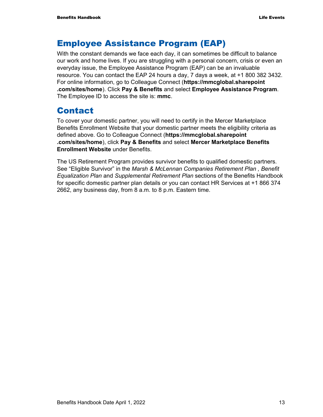### Employee Assistance Program (EAP)

With the constant demands we face each day, it can sometimes be difficult to balance our work and home lives. If you are struggling with a personal concern, crisis or even an everyday issue, the Employee Assistance Program (EAP) can be an invaluable resource. You can contact the EAP 24 hours a day, 7 days a week, at +1 800 382 3432. For online information, go to Colleague Connect (**https://mmcglobal.sharepoint .com/sites/home**). Click **Pay & Benefits** and select **Employee Assistance Program**. The Employee ID to access the site is: **mmc**.

### Contact

To cover your domestic partner, you will need to certify in the Mercer Marketplace Benefits Enrollment Website that your domestic partner meets the eligibility criteria as defined above. Go to Colleague Connect (**https://mmcglobal.sharepoint .com/sites/home**), click **Pay & Benefits** and select **Mercer Marketplace Benefits Enrollment Website** under Benefits.

The US Retirement Program provides survivor benefits to qualified domestic partners. See "Eligible Survivor" in the *Marsh & McLennan Companies Retirement Plan , Benefit Equalization Plan* and *Supplemental Retirement Plan* sections of the Benefits Handbook for specific domestic partner plan details or you can contact HR Services at +1 866 374 2662, any business day, from 8 a.m. to 8 p.m. Eastern time.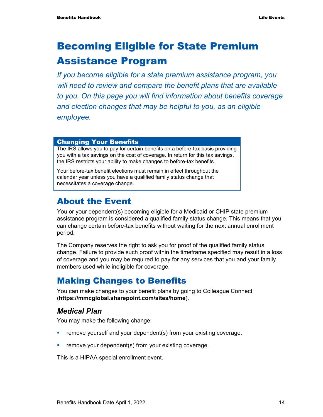# Becoming Eligible for State Premium Assistance Program

*If you become eligible for a state premium assistance program, you will need to review and compare the benefit plans that are available to you. On this page you will find information about benefits coverage and election changes that may be helpful to you, as an eligible employee.* 

#### Changing Your Benefits

The IRS allows you to pay for certain benefits on a before-tax basis providing you with a tax savings on the cost of coverage. In return for this tax savings, the IRS restricts your ability to make changes to before-tax benefits.

Your before-tax benefit elections must remain in effect throughout the calendar year unless you have a qualified family status change that necessitates a coverage change.

### About the Event

You or your dependent(s) becoming eligible for a Medicaid or CHIP state premium assistance program is considered a qualified family status change. This means that you can change certain before-tax benefits without waiting for the next annual enrollment period.

The Company reserves the right to ask you for proof of the qualified family status change. Failure to provide such proof within the timeframe specified may result in a loss of coverage and you may be required to pay for any services that you and your family members used while ineligible for coverage.

### Making Changes to Benefits

You can make changes to your benefit plans by going to Colleague Connect (**https://mmcglobal.sharepoint.com/sites/home**).

### *Medical Plan*

You may make the following change:

- **•** remove yourself and your dependent(s) from your existing coverage.
- **Fig. 2** remove your dependent(s) from your existing coverage.

This is a HIPAA special enrollment event.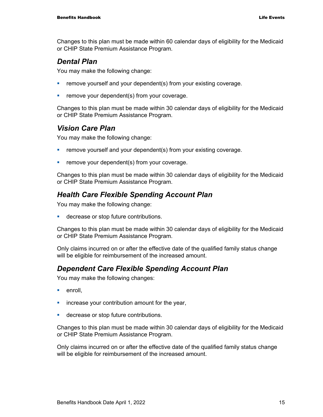Changes to this plan must be made within 60 calendar days of eligibility for the Medicaid or CHIP State Premium Assistance Program.

### *Dental Plan*

You may make the following change:

- **•** remove yourself and your dependent(s) from your existing coverage.
- **Fuller** remove your dependent(s) from your coverage.

Changes to this plan must be made within 30 calendar days of eligibility for the Medicaid or CHIP State Premium Assistance Program.

### *Vision Care Plan*

You may make the following change:

- **•** remove yourself and your dependent(s) from your existing coverage.
- **•** remove your dependent(s) from your coverage.

Changes to this plan must be made within 30 calendar days of eligibility for the Medicaid or CHIP State Premium Assistance Program.

### *Health Care Flexible Spending Account Plan*

You may make the following change:

**decrease or stop future contributions.** 

Changes to this plan must be made within 30 calendar days of eligibility for the Medicaid or CHIP State Premium Assistance Program.

Only claims incurred on or after the effective date of the qualified family status change will be eligible for reimbursement of the increased amount.

### *Dependent Care Flexible Spending Account Plan*

You may make the following changes:

- **enroll**.
- $\blacksquare$  increase your contribution amount for the year,
- **decrease or stop future contributions.**

Changes to this plan must be made within 30 calendar days of eligibility for the Medicaid or CHIP State Premium Assistance Program.

Only claims incurred on or after the effective date of the qualified family status change will be eligible for reimbursement of the increased amount.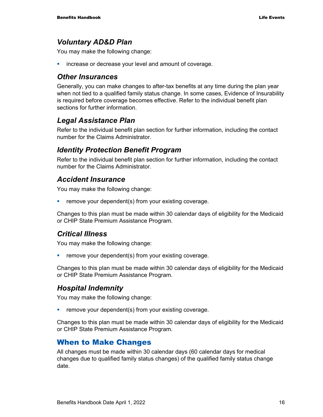### *Voluntary AD&D Plan*

You may make the following change:

**EXEDEE A** increase or decrease your level and amount of coverage.

#### *Other Insurances*

Generally, you can make changes to after-tax benefits at any time during the plan year when not tied to a qualified family status change. In some cases, Evidence of Insurability is required before coverage becomes effective. Refer to the individual benefit plan sections for further information.

### *Legal Assistance Plan*

Refer to the individual benefit plan section for further information, including the contact number for the Claims Administrator.

### *Identity Protection Benefit Program*

Refer to the individual benefit plan section for further information, including the contact number for the Claims Administrator.

### *Accident Insurance*

You may make the following change:

**Fig. 2** remove your dependent(s) from your existing coverage.

Changes to this plan must be made within 30 calendar days of eligibility for the Medicaid or CHIP State Premium Assistance Program.

### *Critical Illness*

You may make the following change:

 $\blacksquare$  remove your dependent(s) from your existing coverage.

Changes to this plan must be made within 30 calendar days of eligibility for the Medicaid or CHIP State Premium Assistance Program.

### *Hospital Indemnity*

You may make the following change:

**•** remove your dependent(s) from your existing coverage.

Changes to this plan must be made within 30 calendar days of eligibility for the Medicaid or CHIP State Premium Assistance Program.

### When to Make Changes

All changes must be made within 30 calendar days (60 calendar days for medical changes due to qualified family status changes) of the qualified family status change date.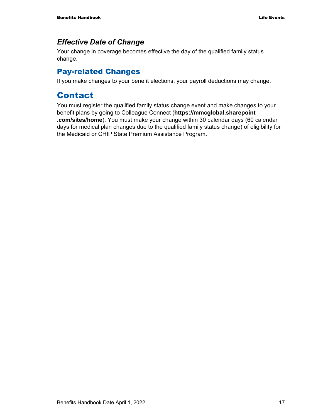### *Effective Date of Change*

Your change in coverage becomes effective the day of the qualified family status change.

### Pay-related Changes

If you make changes to your benefit elections, your payroll deductions may change.

### Contact

You must register the qualified family status change event and make changes to your benefit plans by going to Colleague Connect (**https://mmcglobal.sharepoint .com/sites/home**). You must make your change within 30 calendar days (60 calendar days for medical plan changes due to the qualified family status change) of eligibility for the Medicaid or CHIP State Premium Assistance Program.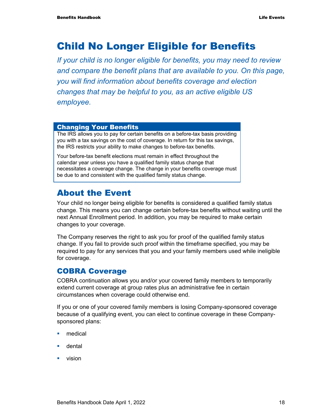# Child No Longer Eligible for Benefits

*If your child is no longer eligible for benefits, you may need to review and compare the benefit plans that are available to you. On this page, you will find information about benefits coverage and election changes that may be helpful to you, as an active eligible US employee.* 

#### Changing Your Benefits

The IRS allows you to pay for certain benefits on a before-tax basis providing you with a tax savings on the cost of coverage. In return for this tax savings, the IRS restricts your ability to make changes to before-tax benefits.

Your before-tax benefit elections must remain in effect throughout the calendar year unless you have a qualified family status change that necessitates a coverage change. The change in your benefits coverage must be due to and consistent with the qualified family status change.

### About the Event

Your child no longer being eligible for benefits is considered a qualified family status change. This means you can change certain before-tax benefits without waiting until the next Annual Enrollment period. In addition, you may be required to make certain changes to your coverage.

The Company reserves the right to ask you for proof of the qualified family status change. If you fail to provide such proof within the timeframe specified, you may be required to pay for any services that you and your family members used while ineligible for coverage.

### COBRA Coverage

COBRA continuation allows you and/or your covered family members to temporarily extend current coverage at group rates plus an administrative fee in certain circumstances when coverage could otherwise end.

If you or one of your covered family members is losing Company-sponsored coverage because of a qualifying event, you can elect to continue coverage in these Companysponsored plans:

- medical
- **u** dental
- **vision**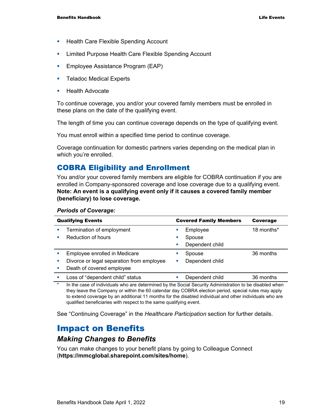- **Health Care Flexible Spending Account**
- **EXECT** Limited Purpose Health Care Flexible Spending Account
- **Employee Assistance Program (EAP)**
- **Teladoc Medical Experts**
- $\blacksquare$  Health Advocate

To continue coverage, you and/or your covered family members must be enrolled in these plans on the date of the qualifying event.

The length of time you can continue coverage depends on the type of qualifying event.

You must enroll within a specified time period to continue coverage.

Coverage continuation for domestic partners varies depending on the medical plan in which you're enrolled.

### COBRA Eligibility and Enrollment

You and/or your covered family members are eligible for COBRA continuation if you are enrolled in Company-sponsored coverage and lose coverage due to a qualifying event. **Note: An event is a qualifying event only if it causes a covered family member (beneficiary) to lose coverage.**

| <b>Qualifying Events</b>                                                                                | <b>Covered Family Members</b>         | Coverage   |
|---------------------------------------------------------------------------------------------------------|---------------------------------------|------------|
| Termination of employment<br>Reduction of hours                                                         | Employee<br>Spouse<br>Dependent child | 18 months* |
| Employee enrolled in Medicare<br>Divorce or legal separation from employee<br>Death of covered employee | Spouse<br>Dependent child             | 36 months  |
| Loss of "dependent child" status                                                                        | Dependent child                       | 36 months  |

#### *Periods of Coverage:*

In the case of individuals who are determined by the Social Security Administration to be disabled when they leave the Company or within the 60 calendar day COBRA election period, special rules may apply to extend coverage by an additional 11 months for the disabled individual and other individuals who are qualified beneficiaries with respect to the same qualifying event.

See "Continuing Coverage" in the *Healthcare Participation* section for further details.

### Impact on Benefits

#### *Making Changes to Benefits*

You can make changes to your benefit plans by going to Colleague Connect (**https://mmcglobal.sharepoint.com/sites/home**).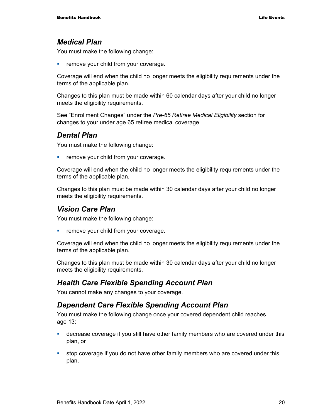#### *Medical Plan*

You must make the following change:

remove your child from your coverage.

Coverage will end when the child no longer meets the eligibility requirements under the terms of the applicable plan.

Changes to this plan must be made within 60 calendar days after your child no longer meets the eligibility requirements.

See "Enrollment Changes" under the *Pre-65 Retiree Medical Eligibility* section for changes to your under age 65 retiree medical coverage.

### *Dental Plan*

You must make the following change:

**Fuller** remove your child from your coverage.

Coverage will end when the child no longer meets the eligibility requirements under the terms of the applicable plan.

Changes to this plan must be made within 30 calendar days after your child no longer meets the eligibility requirements.

#### *Vision Care Plan*

You must make the following change:

**•** remove your child from your coverage.

Coverage will end when the child no longer meets the eligibility requirements under the terms of the applicable plan.

Changes to this plan must be made within 30 calendar days after your child no longer meets the eligibility requirements.

#### *Health Care Flexible Spending Account Plan*

You cannot make any changes to your coverage.

#### *Dependent Care Flexible Spending Account Plan*

You must make the following change once your covered dependent child reaches age 13:

- decrease coverage if you still have other family members who are covered under this plan, or
- stop coverage if you do not have other family members who are covered under this plan.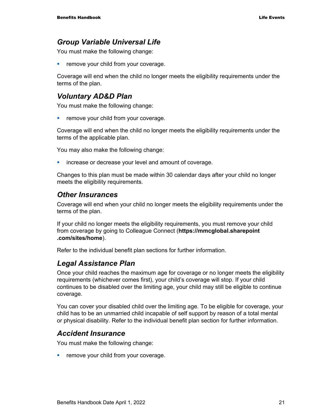### *Group Variable Universal Life*

You must make the following change:

**Fuller** remove your child from your coverage.

Coverage will end when the child no longer meets the eligibility requirements under the terms of the plan.

### *Voluntary AD&D Plan*

You must make the following change:

**Fuller** remove your child from your coverage.

Coverage will end when the child no longer meets the eligibility requirements under the terms of the applicable plan.

You may also make the following change:

**EXEDEE A** increase or decrease your level and amount of coverage.

Changes to this plan must be made within 30 calendar days after your child no longer meets the eligibility requirements.

#### *Other Insurances*

Coverage will end when your child no longer meets the eligibility requirements under the terms of the plan.

If your child no longer meets the eligibility requirements, you must remove your child from coverage by going to Colleague Connect (**https://mmcglobal.sharepoint .com/sites/home**).

Refer to the individual benefit plan sections for further information.

### *Legal Assistance Plan*

Once your child reaches the maximum age for coverage or no longer meets the eligibility requirements (whichever comes first), your child's coverage will stop. If your child continues to be disabled over the limiting age, your child may still be eligible to continue coverage.

You can cover your disabled child over the limiting age. To be eligible for coverage, your child has to be an unmarried child incapable of self support by reason of a total mental or physical disability. Refer to the individual benefit plan section for further information.

#### *Accident Insurance*

You must make the following change:

**•** remove your child from your coverage.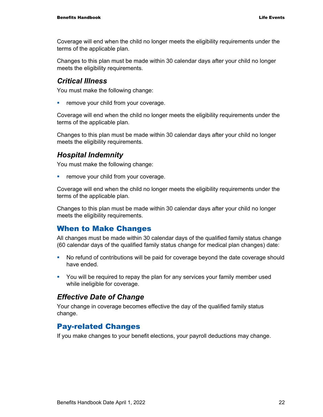Coverage will end when the child no longer meets the eligibility requirements under the terms of the applicable plan.

Changes to this plan must be made within 30 calendar days after your child no longer meets the eligibility requirements.

#### *Critical Illness*

You must make the following change:

**Fuller** remove your child from your coverage.

Coverage will end when the child no longer meets the eligibility requirements under the terms of the applicable plan.

Changes to this plan must be made within 30 calendar days after your child no longer meets the eligibility requirements.

#### *Hospital Indemnity*

You must make the following change:

**F** remove your child from your coverage.

Coverage will end when the child no longer meets the eligibility requirements under the terms of the applicable plan.

Changes to this plan must be made within 30 calendar days after your child no longer meets the eligibility requirements.

#### When to Make Changes

All changes must be made within 30 calendar days of the qualified family status change (60 calendar days of the qualified family status change for medical plan changes) date:

- No refund of contributions will be paid for coverage beyond the date coverage should have ended.
- You will be required to repay the plan for any services your family member used while ineligible for coverage.

#### *Effective Date of Change*

Your change in coverage becomes effective the day of the qualified family status change.

#### Pay-related Changes

If you make changes to your benefit elections, your payroll deductions may change.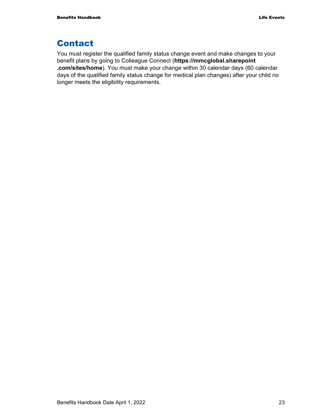### Contact

You must register the qualified family status change event and make changes to your benefit plans by going to Colleague Connect (**https://mmcglobal.sharepoint .com/sites/home**). You must make your change within 30 calendar days (60 calendar days of the qualified family status change for medical plan changes) after your child no longer meets the eligibility requirements.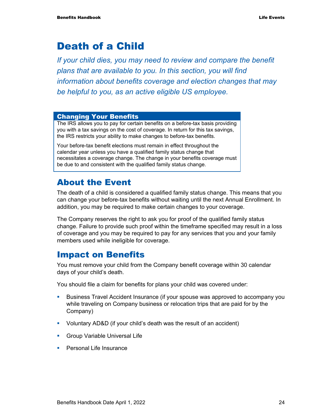# Death of a Child

*If your child dies, you may need to review and compare the benefit plans that are available to you. In this section, you will find information about benefits coverage and election changes that may be helpful to you, as an active eligible US employee.* 

#### Changing Your Benefits

The IRS allows you to pay for certain benefits on a before-tax basis providing you with a tax savings on the cost of coverage. In return for this tax savings, the IRS restricts your ability to make changes to before-tax benefits.

Your before-tax benefit elections must remain in effect throughout the calendar year unless you have a qualified family status change that necessitates a coverage change. The change in your benefits coverage must be due to and consistent with the qualified family status change.

### About the Event

The death of a child is considered a qualified family status change. This means that you can change your before-tax benefits without waiting until the next Annual Enrollment. In addition, you may be required to make certain changes to your coverage.

The Company reserves the right to ask you for proof of the qualified family status change. Failure to provide such proof within the timeframe specified may result in a loss of coverage and you may be required to pay for any services that you and your family members used while ineligible for coverage.

### Impact on Benefits

You must remove your child from the Company benefit coverage within 30 calendar days of your child's death.

You should file a claim for benefits for plans your child was covered under:

- Business Travel Accident Insurance (if your spouse was approved to accompany you while traveling on Company business or relocation trips that are paid for by the Company)
- Voluntary AD&D (if your child's death was the result of an accident)
- **Group Variable Universal Life**
- **Personal Life Insurance**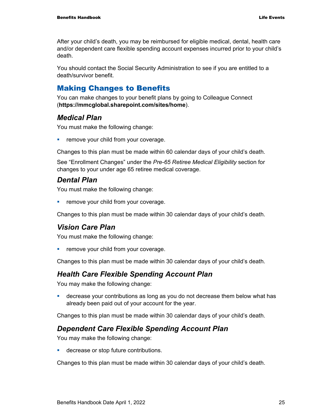After your child's death, you may be reimbursed for eligible medical, dental, health care and/or dependent care flexible spending account expenses incurred prior to your child's death.

You should contact the Social Security Administration to see if you are entitled to a death/survivor benefit.

### Making Changes to Benefits

You can make changes to your benefit plans by going to Colleague Connect (**https://mmcglobal.sharepoint.com/sites/home**).

### *Medical Plan*

You must make the following change:

**F** remove your child from your coverage.

Changes to this plan must be made within 60 calendar days of your child's death.

See "Enrollment Changes" under the *Pre-65 Retiree Medical Eligibility* section for changes to your under age 65 retiree medical coverage.

### *Dental Plan*

You must make the following change:

**Fuller** remove your child from your coverage.

Changes to this plan must be made within 30 calendar days of your child's death.

### *Vision Care Plan*

You must make the following change:

**F** remove your child from your coverage.

Changes to this plan must be made within 30 calendar days of your child's death.

### *Health Care Flexible Spending Account Plan*

You may make the following change:

 decrease your contributions as long as you do not decrease them below what has already been paid out of your account for the year.

Changes to this plan must be made within 30 calendar days of your child's death.

### *Dependent Care Flexible Spending Account Plan*

You may make the following change:

**decrease or stop future contributions.** 

Changes to this plan must be made within 30 calendar days of your child's death.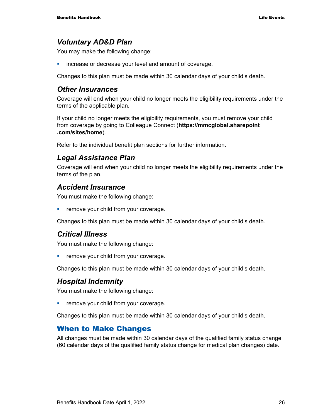### *Voluntary AD&D Plan*

You may make the following change:

**EXEDEE A** increase or decrease your level and amount of coverage.

Changes to this plan must be made within 30 calendar days of your child's death.

#### *Other Insurances*

Coverage will end when your child no longer meets the eligibility requirements under the terms of the applicable plan.

If your child no longer meets the eligibility requirements, you must remove your child from coverage by going to Colleague Connect (**https://mmcglobal.sharepoint .com/sites/home**).

Refer to the individual benefit plan sections for further information.

#### *Legal Assistance Plan*

Coverage will end when your child no longer meets the eligibility requirements under the terms of the plan.

#### *Accident Insurance*

You must make the following change:

**F** remove your child from your coverage.

Changes to this plan must be made within 30 calendar days of your child's death.

#### *Critical Illness*

You must make the following change:

**Fuller** remove your child from your coverage.

Changes to this plan must be made within 30 calendar days of your child's death.

#### *Hospital Indemnity*

You must make the following change:

**•** remove your child from your coverage.

Changes to this plan must be made within 30 calendar days of your child's death.

#### When to Make Changes

All changes must be made within 30 calendar days of the qualified family status change (60 calendar days of the qualified family status change for medical plan changes) date.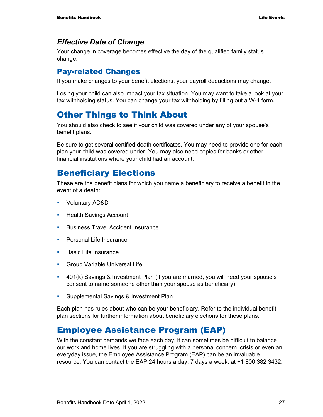### *Effective Date of Change*

Your change in coverage becomes effective the day of the qualified family status change.

### Pay-related Changes

If you make changes to your benefit elections, your payroll deductions may change.

Losing your child can also impact your tax situation. You may want to take a look at your tax withholding status. You can change your tax withholding by filling out a W-4 form.

### Other Things to Think About

You should also check to see if your child was covered under any of your spouse's benefit plans.

Be sure to get several certified death certificates. You may need to provide one for each plan your child was covered under. You may also need copies for banks or other financial institutions where your child had an account.

### Beneficiary Elections

These are the benefit plans for which you name a beneficiary to receive a benefit in the event of a death:

- Voluntary AD&D
- **Health Savings Account**
- **Business Travel Accident Insurance**
- **Personal Life Insurance**
- **Basic Life Insurance**
- **Group Variable Universal Life**
- 401(k) Savings & Investment Plan (if you are married, you will need your spouse's consent to name someone other than your spouse as beneficiary)
- **Supplemental Savings & Investment Plan**

Each plan has rules about who can be your beneficiary. Refer to the individual benefit plan sections for further information about beneficiary elections for these plans.

### Employee Assistance Program (EAP)

With the constant demands we face each day, it can sometimes be difficult to balance our work and home lives. If you are struggling with a personal concern, crisis or even an everyday issue, the Employee Assistance Program (EAP) can be an invaluable resource. You can contact the EAP 24 hours a day, 7 days a week, at +1 800 382 3432.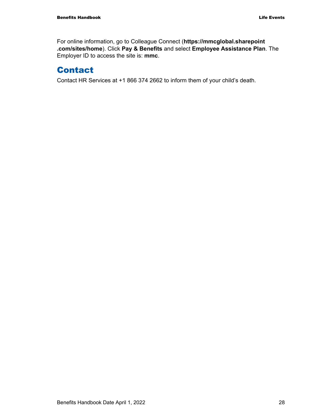For online information, go to Colleague Connect (**https://mmcglobal.sharepoint .com/sites/home**). Click **Pay & Benefits** and select **Employee Assistance Plan**. The Employer ID to access the site is: **mmc**.

### Contact

Contact HR Services at +1 866 374 2662 to inform them of your child's death.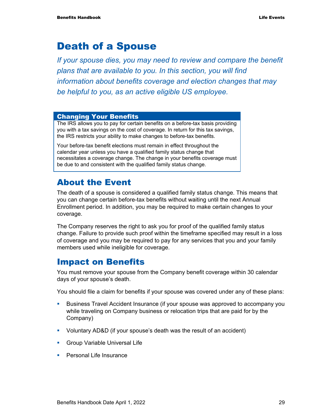# Death of a Spouse

*If your spouse dies, you may need to review and compare the benefit plans that are available to you. In this section, you will find information about benefits coverage and election changes that may be helpful to you, as an active eligible US employee.* 

#### Changing Your Benefits

The IRS allows you to pay for certain benefits on a before-tax basis providing you with a tax savings on the cost of coverage. In return for this tax savings, the IRS restricts your ability to make changes to before-tax benefits.

Your before-tax benefit elections must remain in effect throughout the calendar year unless you have a qualified family status change that necessitates a coverage change. The change in your benefits coverage must be due to and consistent with the qualified family status change.

### About the Event

The death of a spouse is considered a qualified family status change. This means that you can change certain before-tax benefits without waiting until the next Annual Enrollment period. In addition, you may be required to make certain changes to your coverage.

The Company reserves the right to ask you for proof of the qualified family status change. Failure to provide such proof within the timeframe specified may result in a loss of coverage and you may be required to pay for any services that you and your family members used while ineligible for coverage.

### Impact on Benefits

You must remove your spouse from the Company benefit coverage within 30 calendar days of your spouse's death.

You should file a claim for benefits if your spouse was covered under any of these plans:

- **Business Travel Accident Insurance (if your spouse was approved to accompany you** while traveling on Company business or relocation trips that are paid for by the Company)
- Voluntary AD&D (if your spouse's death was the result of an accident)
- **Group Variable Universal Life**
- **Personal Life Insurance**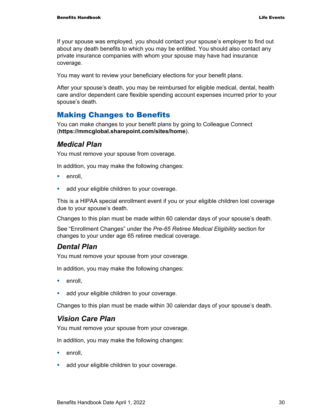If your spouse was employed, you should contact your spouse's employer to find out about any death benefits to which you may be entitled. You should also contact any private insurance companies with whom your spouse may have had insurance coverage.

You may want to review your beneficiary elections for your benefit plans.

After your spouse's death, you may be reimbursed for eligible medical, dental, health care and/or dependent care flexible spending account expenses incurred prior to your spouse's death.

### Making Changes to Benefits

You can make changes to your benefit plans by going to Colleague Connect (**https://mmcglobal.sharepoint.com/sites/home**).

#### *Medical Plan*

You must remove your spouse from coverage.

In addition, you may make the following changes:

- $\blacksquare$  enroll.
- **add your eligible children to your coverage.**

This is a HIPAA special enrollment event if you or your eligible children lost coverage due to your spouse's death.

Changes to this plan must be made within 60 calendar days of your spouse's death.

See "Enrollment Changes" under the *Pre-65 Retiree Medical Eligibility* section for changes to your under age 65 retiree medical coverage.

#### *Dental Plan*

You must remove your spouse from your coverage.

In addition, you may make the following changes:

- **enroll**.
- **add your eligible children to your coverage.**

Changes to this plan must be made within 30 calendar days of your spouse's death.

#### *Vision Care Plan*

You must remove your spouse from your coverage.

In addition, you may make the following changes:

- **enroll**.
- **add your eligible children to your coverage.**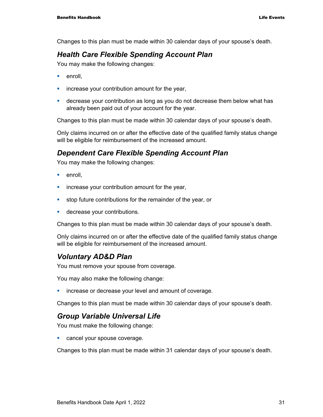Changes to this plan must be made within 30 calendar days of your spouse's death.

### *Health Care Flexible Spending Account Plan*

You may make the following changes:

- **enroll**.
- $\blacksquare$  increase your contribution amount for the year,
- decrease your contribution as long as you do not decrease them below what has already been paid out of your account for the year.

Changes to this plan must be made within 30 calendar days of your spouse's death.

Only claims incurred on or after the effective date of the qualified family status change will be eligible for reimbursement of the increased amount.

### *Dependent Care Flexible Spending Account Plan*

You may make the following changes:

- $\blacksquare$  enroll.
- **EXED** increase your contribution amount for the year,
- stop future contributions for the remainder of the year, or
- **decrease your contributions.**

Changes to this plan must be made within 30 calendar days of your spouse's death.

Only claims incurred on or after the effective date of the qualified family status change will be eligible for reimbursement of the increased amount.

### *Voluntary AD&D Plan*

You must remove your spouse from coverage.

You may also make the following change:

**increase or decrease your level and amount of coverage.** 

Changes to this plan must be made within 30 calendar days of your spouse's death.

### *Group Variable Universal Life*

You must make the following change:

**Cancel your spouse coverage.** 

Changes to this plan must be made within 31 calendar days of your spouse's death.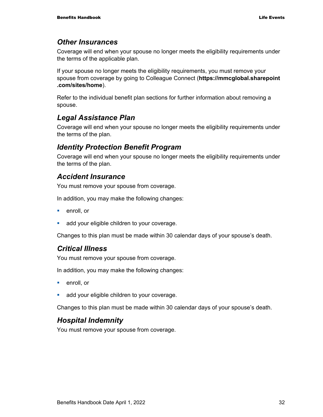### *Other Insurances*

Coverage will end when your spouse no longer meets the eligibility requirements under the terms of the applicable plan.

If your spouse no longer meets the eligibility requirements, you must remove your spouse from coverage by going to Colleague Connect (**https://mmcglobal.sharepoint .com/sites/home**).

Refer to the individual benefit plan sections for further information about removing a spouse.

### *Legal Assistance Plan*

Coverage will end when your spouse no longer meets the eligibility requirements under the terms of the plan.

### *Identity Protection Benefit Program*

Coverage will end when your spouse no longer meets the eligibility requirements under the terms of the plan.

### *Accident Insurance*

You must remove your spouse from coverage.

In addition, you may make the following changes:

- **enroll**, or
- **add your eligible children to your coverage.**

Changes to this plan must be made within 30 calendar days of your spouse's death.

#### *Critical Illness*

You must remove your spouse from coverage.

In addition, you may make the following changes:

- **enroll**, or
- **add your eligible children to your coverage.**

Changes to this plan must be made within 30 calendar days of your spouse's death.

### *Hospital Indemnity*

You must remove your spouse from coverage.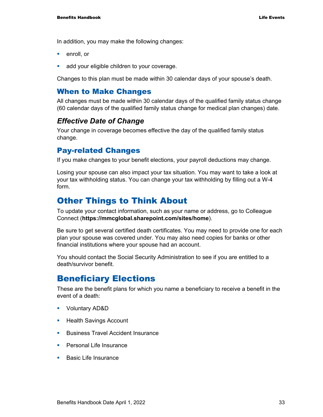In addition, you may make the following changes:

- **enroll**, or
- **add your eligible children to your coverage.**

Changes to this plan must be made within 30 calendar days of your spouse's death.

### When to Make Changes

All changes must be made within 30 calendar days of the qualified family status change (60 calendar days of the qualified family status change for medical plan changes) date.

### *Effective Date of Change*

Your change in coverage becomes effective the day of the qualified family status change.

### Pay-related Changes

If you make changes to your benefit elections, your payroll deductions may change.

Losing your spouse can also impact your tax situation. You may want to take a look at your tax withholding status. You can change your tax withholding by filling out a W-4 form.

### Other Things to Think About

To update your contact information, such as your name or address, go to Colleague Connect (**https://mmcglobal.sharepoint.com/sites/home**).

Be sure to get several certified death certificates. You may need to provide one for each plan your spouse was covered under. You may also need copies for banks or other financial institutions where your spouse had an account.

You should contact the Social Security Administration to see if you are entitled to a death/survivor benefit.

### Beneficiary Elections

These are the benefit plans for which you name a beneficiary to receive a benefit in the event of a death:

- Voluntary AD&D
- **Health Savings Account**
- **Business Travel Accident Insurance**
- **Personal Life Insurance**
- **Basic Life Insurance**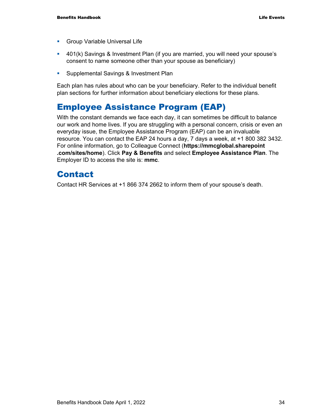- **Group Variable Universal Life**
- 401(k) Savings & Investment Plan (if you are married, you will need your spouse's consent to name someone other than your spouse as beneficiary)
- **Supplemental Savings & Investment Plan**

Each plan has rules about who can be your beneficiary. Refer to the individual benefit plan sections for further information about beneficiary elections for these plans.

### Employee Assistance Program (EAP)

With the constant demands we face each day, it can sometimes be difficult to balance our work and home lives. If you are struggling with a personal concern, crisis or even an everyday issue, the Employee Assistance Program (EAP) can be an invaluable resource. You can contact the EAP 24 hours a day, 7 days a week, at +1 800 382 3432. For online information, go to Colleague Connect (**https://mmcglobal.sharepoint .com/sites/home**). Click **Pay & Benefits** and select **Employee Assistance Plan**. The Employer ID to access the site is: **mmc**.

### Contact

Contact HR Services at +1 866 374 2662 to inform them of your spouse's death.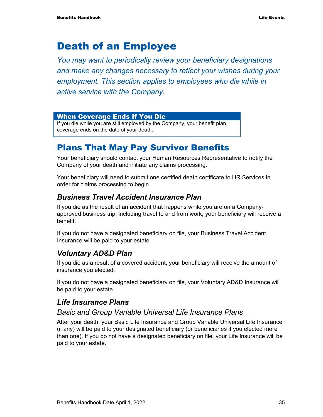# Death of an Employee

*You may want to periodically review your beneficiary designations and make any changes necessary to reflect your wishes during your employment. This section applies to employees who die while in active service with the Company.* 

#### When Coverage Ends If You Die

If you die while you are still employed by the Company, your benefit plan coverage ends on the date of your death.

### Plans That May Pay Survivor Benefits

Your beneficiary should contact your Human Resources Representative to notify the Company of your death and initiate any claims processing.

Your beneficiary will need to submit one certified death certificate to HR Services in order for claims processing to begin.

### *Business Travel Accident Insurance Plan*

If you die as the result of an accident that happens while you are on a Companyapproved business trip, including travel to and from work, your beneficiary will receive a benefit.

If you do not have a designated beneficiary on file, your Business Travel Accident Insurance will be paid to your estate.

### *Voluntary AD&D Plan*

If you die as a result of a covered accident, your beneficiary will receive the amount of insurance you elected.

If you do not have a designated beneficiary on file, your Voluntary AD&D Insurance will be paid to your estate.

### *Life Insurance Plans*

### *Basic and Group Variable Universal Life Insurance Plans*

After your death, your Basic Life Insurance and Group Variable Universal Life Insurance (if any) will be paid to your designated beneficiary (or beneficiaries if you elected more than one). If you do not have a designated beneficiary on file, your Life Insurance will be paid to your estate.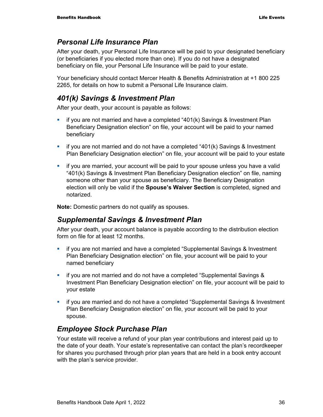### *Personal Life Insurance Plan*

After your death, your Personal Life Insurance will be paid to your designated beneficiary (or beneficiaries if you elected more than one). If you do not have a designated beneficiary on file, your Personal Life Insurance will be paid to your estate.

Your beneficiary should contact Mercer Health & Benefits Administration at +1 800 225 2265, for details on how to submit a Personal Life Insurance claim.

### *401(k) Savings & Investment Plan*

After your death, your account is payable as follows:

- **i** if you are not married and have a completed "401(k) Savings & Investment Plan Beneficiary Designation election" on file, your account will be paid to your named beneficiary
- $\blacksquare$  if you are not married and do not have a completed "401(k) Savings & Investment Plan Beneficiary Designation election" on file, your account will be paid to your estate
- **F** if you are married, your account will be paid to your spouse unless you have a valid "401(k) Savings & Investment Plan Beneficiary Designation election" on file, naming someone other than your spouse as beneficiary. The Beneficiary Designation election will only be valid if the **Spouse's Waiver Section** is completed, signed and notarized.

**Note:** Domestic partners do not qualify as spouses.

### *Supplemental Savings & Investment Plan*

After your death, your account balance is payable according to the distribution election form on file for at least 12 months.

- **i** if you are not married and have a completed "Supplemental Savings & Investment Plan Beneficiary Designation election" on file, your account will be paid to your named beneficiary
- **if you are not married and do not have a completed "Supplemental Savings &** Investment Plan Beneficiary Designation election" on file, your account will be paid to your estate
- if you are married and do not have a completed "Supplemental Savings & Investment Plan Beneficiary Designation election" on file, your account will be paid to your spouse.

### *Employee Stock Purchase Plan*

Your estate will receive a refund of your plan year contributions and interest paid up to the date of your death. Your estate's representative can contact the plan's recordkeeper for shares you purchased through prior plan years that are held in a book entry account with the plan's service provider.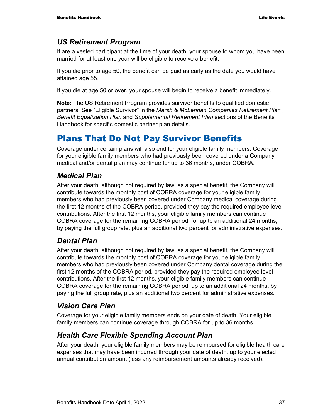### *US Retirement Program*

If are a vested participant at the time of your death, your spouse to whom you have been married for at least one year will be eligible to receive a benefit.

If you die prior to age 50, the benefit can be paid as early as the date you would have attained age 55.

If you die at age 50 or over, your spouse will begin to receive a benefit immediately.

**Note:** The US Retirement Program provides survivor benefits to qualified domestic partners. See "Eligible Survivor" in the *Marsh & McLennan Companies Retirement Plan , Benefit Equalization Plan* and *Supplemental Retirement Plan* sections of the Benefits Handbook for specific domestic partner plan details.

## Plans That Do Not Pay Survivor Benefits

Coverage under certain plans will also end for your eligible family members. Coverage for your eligible family members who had previously been covered under a Company medical and/or dental plan may continue for up to 36 months, under COBRA.

### *Medical Plan*

After your death, although not required by law, as a special benefit, the Company will contribute towards the monthly cost of COBRA coverage for your eligible family members who had previously been covered under Company medical coverage during the first 12 months of the COBRA period, provided they pay the required employee level contributions. After the first 12 months, your eligible family members can continue COBRA coverage for the remaining COBRA period, for up to an additional 24 months, by paying the full group rate, plus an additional two percent for administrative expenses.

### *Dental Plan*

After your death, although not required by law, as a special benefit, the Company will contribute towards the monthly cost of COBRA coverage for your eligible family members who had previously been covered under Company dental coverage during the first 12 months of the COBRA period, provided they pay the required employee level contributions. After the first 12 months, your eligible family members can continue COBRA coverage for the remaining COBRA period, up to an additional 24 months, by paying the full group rate, plus an additional two percent for administrative expenses.

### *Vision Care Plan*

Coverage for your eligible family members ends on your date of death. Your eligible family members can continue coverage through COBRA for up to 36 months.

### *Health Care Flexible Spending Account Plan*

After your death, your eligible family members may be reimbursed for eligible health care expenses that may have been incurred through your date of death, up to your elected annual contribution amount (less any reimbursement amounts already received).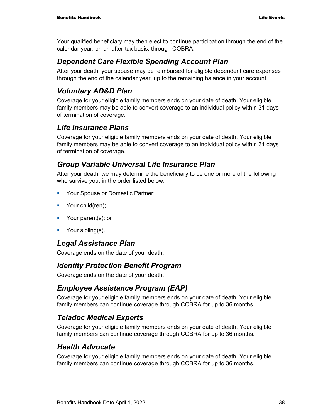Your qualified beneficiary may then elect to continue participation through the end of the calendar year, on an after-tax basis, through COBRA.

### *Dependent Care Flexible Spending Account Plan*

After your death, your spouse may be reimbursed for eligible dependent care expenses through the end of the calendar year, up to the remaining balance in your account.

## *Voluntary AD&D Plan*

Coverage for your eligible family members ends on your date of death. Your eligible family members may be able to convert coverage to an individual policy within 31 days of termination of coverage.

## *Life Insurance Plans*

Coverage for your eligible family members ends on your date of death. Your eligible family members may be able to convert coverage to an individual policy within 31 days of termination of coverage.

### *Group Variable Universal Life Insurance Plan*

After your death, we may determine the beneficiary to be one or more of the following who survive you, in the order listed below:

- **Your Spouse or Domestic Partner;**
- Your child(ren);
- Your parent(s); or
- **Your sibling(s).**

### *Legal Assistance Plan*

Coverage ends on the date of your death.

### *Identity Protection Benefit Program*

Coverage ends on the date of your death.

### *Employee Assistance Program (EAP)*

Coverage for your eligible family members ends on your date of death. Your eligible family members can continue coverage through COBRA for up to 36 months.

### *Teladoc Medical Experts*

Coverage for your eligible family members ends on your date of death. Your eligible family members can continue coverage through COBRA for up to 36 months.

### *Health Advocate*

Coverage for your eligible family members ends on your date of death. Your eligible family members can continue coverage through COBRA for up to 36 months.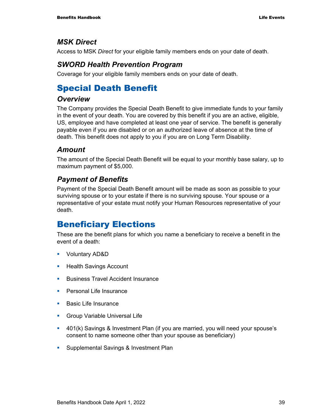### *MSK Direct*

Access to MSK *Direct* for your eligible family members ends on your date of death.

### *SWORD Health Prevention Program*

Coverage for your eligible family members ends on your date of death.

## Special Death Benefit

### *Overview*

The Company provides the Special Death Benefit to give immediate funds to your family in the event of your death. You are covered by this benefit if you are an active, eligible, US, employee and have completed at least one year of service. The benefit is generally payable even if you are disabled or on an authorized leave of absence at the time of death. This benefit does not apply to you if you are on Long Term Disability.

### *Amount*

The amount of the Special Death Benefit will be equal to your monthly base salary, up to maximum payment of \$5,000.

### *Payment of Benefits*

Payment of the Special Death Benefit amount will be made as soon as possible to your surviving spouse or to your estate if there is no surviving spouse. Your spouse or a representative of your estate must notify your Human Resources representative of your death.

## Beneficiary Elections

These are the benefit plans for which you name a beneficiary to receive a benefit in the event of a death:

- Voluntary AD&D
- **Health Savings Account**
- **Business Travel Accident Insurance**
- **Personal Life Insurance**
- **Basic Life Insurance**
- **Group Variable Universal Life**
- 401(k) Savings & Investment Plan (if you are married, you will need your spouse's consent to name someone other than your spouse as beneficiary)
- **Supplemental Savings & Investment Plan**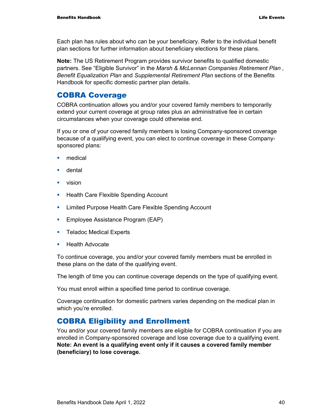Each plan has rules about who can be your beneficiary. Refer to the individual benefit plan sections for further information about beneficiary elections for these plans.

**Note:** The US Retirement Program provides survivor benefits to qualified domestic partners. See "Eligible Survivor" in the *Marsh & McLennan Companies Retirement Plan , Benefit Equalization Plan* and *Supplemental Retirement Plan* sections of the Benefits Handbook for specific domestic partner plan details.

### COBRA Coverage

COBRA continuation allows you and/or your covered family members to temporarily extend your current coverage at group rates plus an administrative fee in certain circumstances when your coverage could otherwise end.

If you or one of your covered family members is losing Company-sponsored coverage because of a qualifying event, you can elect to continue coverage in these Companysponsored plans:

- **nedical**
- **u** dental
- **vision**
- **Health Care Flexible Spending Account**
- **EXECT** Limited Purpose Health Care Flexible Spending Account
- **Employee Assistance Program (EAP)**
- **Teladoc Medical Experts**
- **Health Advocate**

To continue coverage, you and/or your covered family members must be enrolled in these plans on the date of the qualifying event.

The length of time you can continue coverage depends on the type of qualifying event.

You must enroll within a specified time period to continue coverage.

Coverage continuation for domestic partners varies depending on the medical plan in which you're enrolled.

#### COBRA Eligibility and Enrollment

You and/or your covered family members are eligible for COBRA continuation if you are enrolled in Company-sponsored coverage and lose coverage due to a qualifying event. **Note: An event is a qualifying event only if it causes a covered family member (beneficiary) to lose coverage.**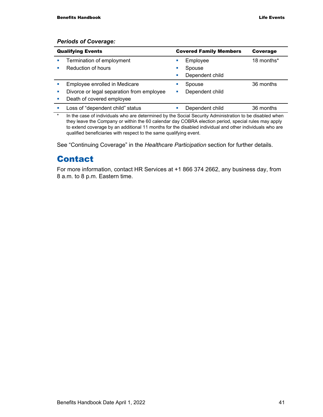#### *Periods of Coverage:*

| <b>Qualifying Events</b> |                                           | <b>Covered Family Members</b> |                 | Coverage   |
|--------------------------|-------------------------------------------|-------------------------------|-----------------|------------|
|                          | Termination of employment                 |                               | Employee        | 18 months* |
|                          | Reduction of hours                        |                               | Spouse          |            |
|                          |                                           |                               | Dependent child |            |
|                          | Employee enrolled in Medicare             |                               | Spouse          | 36 months  |
|                          | Divorce or legal separation from employee |                               | Dependent child |            |
|                          | Death of covered employee                 |                               |                 |            |
|                          | Loss of "dependent child" status          |                               | Dependent child | 36 months  |

\* In the case of individuals who are determined by the Social Security Administration to be disabled when they leave the Company or within the 60 calendar day COBRA election period, special rules may apply to extend coverage by an additional 11 months for the disabled individual and other individuals who are qualified beneficiaries with respect to the same qualifying event.

See "Continuing Coverage" in the *Healthcare Participation* section for further details.

## Contact

For more information, contact HR Services at +1 866 374 2662, any business day, from 8 a.m. to 8 p.m. Eastern time.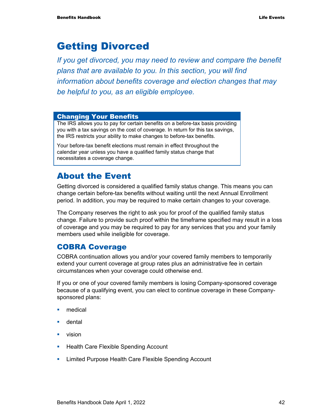# Getting Divorced

*If you get divorced, you may need to review and compare the benefit plans that are available to you. In this section, you will find information about benefits coverage and election changes that may be helpful to you, as an eligible employee.* 

#### Changing Your Benefits

The IRS allows you to pay for certain benefits on a before-tax basis providing you with a tax savings on the cost of coverage. In return for this tax savings, the IRS restricts your ability to make changes to before-tax benefits.

Your before-tax benefit elections must remain in effect throughout the calendar year unless you have a qualified family status change that necessitates a coverage change.

## About the Event

Getting divorced is considered a qualified family status change. This means you can change certain before-tax benefits without waiting until the next Annual Enrollment period. In addition, you may be required to make certain changes to your coverage.

The Company reserves the right to ask you for proof of the qualified family status change. Failure to provide such proof within the timeframe specified may result in a loss of coverage and you may be required to pay for any services that you and your family members used while ineligible for coverage.

### COBRA Coverage

COBRA continuation allows you and/or your covered family members to temporarily extend your current coverage at group rates plus an administrative fee in certain circumstances when your coverage could otherwise end.

If you or one of your covered family members is losing Company-sponsored coverage because of a qualifying event, you can elect to continue coverage in these Companysponsored plans:

- **n**edical
- **u** dental
- vision
- **Health Care Flexible Spending Account**
- **EXECT** Limited Purpose Health Care Flexible Spending Account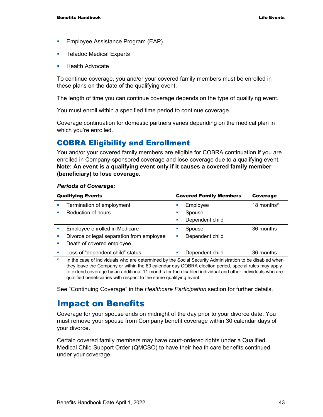- **Employee Assistance Program (EAP)**
- **Teladoc Medical Experts**
- **Health Advocate**

To continue coverage, you and/or your covered family members must be enrolled in these plans on the date of the qualifying event.

The length of time you can continue coverage depends on the type of qualifying event.

You must enroll within a specified time period to continue coverage.

Coverage continuation for domestic partners varies depending on the medical plan in which you're enrolled.

### COBRA Eligibility and Enrollment

You and/or your covered family members are eligible for COBRA continuation if you are enrolled in Company-sponsored coverage and lose coverage due to a qualifying event. **Note: An event is a qualifying event only if it causes a covered family member (beneficiary) to lose coverage.**

#### *Periods of Coverage:*

| <b>Qualifying Events</b> |                                           |   | <b>Covered Family Members</b> | Coverage   |
|--------------------------|-------------------------------------------|---|-------------------------------|------------|
|                          | Termination of employment                 |   | Employee                      | 18 months* |
|                          | Reduction of hours                        |   | Spouse                        |            |
|                          |                                           |   | Dependent child               |            |
|                          | Employee enrolled in Medicare             |   | Spouse                        | 36 months  |
|                          | Divorce or legal separation from employee | ш | Dependent child               |            |
|                          | Death of covered employee                 |   |                               |            |
|                          | Loss of "dependent child" status          |   | Dependent child               | 36 months  |
|                          |                                           |   |                               |            |

In the case of individuals who are determined by the Social Security Administration to be disabled when they leave the Company or within the 60 calendar day COBRA election period, special rules may apply to extend coverage by an additional 11 months for the disabled individual and other individuals who are qualified beneficiaries with respect to the same qualifying event.

See "Continuing Coverage" in the *Healthcare Participation* section for further details.

### Impact on Benefits

Coverage for your spouse ends on midnight of the day prior to your divorce date. You must remove your spouse from Company benefit coverage within 30 calendar days of your divorce.

Certain covered family members may have court-ordered rights under a Qualified Medical Child Support Order (QMCSO) to have their health care benefits continued under your coverage.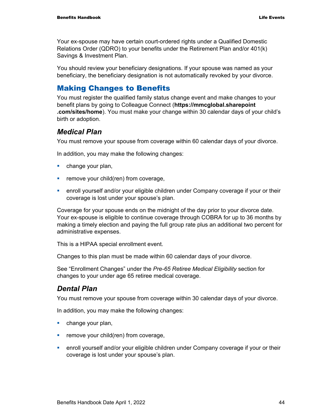Your ex-spouse may have certain court-ordered rights under a Qualified Domestic Relations Order (QDRO) to your benefits under the Retirement Plan and/or 401(k) Savings & Investment Plan.

You should review your beneficiary designations. If your spouse was named as your beneficiary, the beneficiary designation is not automatically revoked by your divorce.

### Making Changes to Benefits

You must register the qualified family status change event and make changes to your benefit plans by going to Colleague Connect (**https://mmcglobal.sharepoint .com/sites/home**). You must make your change within 30 calendar days of your child's birth or adoption.

#### *Medical Plan*

You must remove your spouse from coverage within 60 calendar days of your divorce.

In addition, you may make the following changes:

- **change your plan,**
- $\blacksquare$  remove your child(ren) from coverage,
- **EXED** enroll yourself and/or your eligible children under Company coverage if your or their coverage is lost under your spouse's plan.

Coverage for your spouse ends on the midnight of the day prior to your divorce date. Your ex-spouse is eligible to continue coverage through COBRA for up to 36 months by making a timely election and paying the full group rate plus an additional two percent for administrative expenses.

This is a HIPAA special enrollment event.

Changes to this plan must be made within 60 calendar days of your divorce.

See "Enrollment Changes" under the *Pre-65 Retiree Medical Eligibility* section for changes to your under age 65 retiree medical coverage.

### *Dental Plan*

You must remove your spouse from coverage within 30 calendar days of your divorce.

In addition, you may make the following changes:

- **change your plan,**
- **Fuller** remove your child(ren) from coverage,
- enroll yourself and/or your eligible children under Company coverage if your or their coverage is lost under your spouse's plan.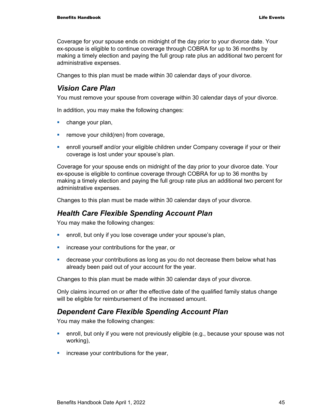Coverage for your spouse ends on midnight of the day prior to your divorce date. Your ex-spouse is eligible to continue coverage through COBRA for up to 36 months by making a timely election and paying the full group rate plus an additional two percent for administrative expenses.

Changes to this plan must be made within 30 calendar days of your divorce.

### *Vision Care Plan*

You must remove your spouse from coverage within 30 calendar days of your divorce.

In addition, you may make the following changes:

- **change your plan,**
- $\blacksquare$  remove your child(ren) from coverage,
- **EXED** enroll yourself and/or your eligible children under Company coverage if your or their coverage is lost under your spouse's plan.

Coverage for your spouse ends on midnight of the day prior to your divorce date. Your ex-spouse is eligible to continue coverage through COBRA for up to 36 months by making a timely election and paying the full group rate plus an additional two percent for administrative expenses.

Changes to this plan must be made within 30 calendar days of your divorce.

### *Health Care Flexible Spending Account Plan*

You may make the following changes:

- **EXECT** enroll, but only if you lose coverage under your spouse's plan,
- **EXED:** increase your contributions for the year, or
- decrease your contributions as long as you do not decrease them below what has already been paid out of your account for the year.

Changes to this plan must be made within 30 calendar days of your divorce.

Only claims incurred on or after the effective date of the qualified family status change will be eligible for reimbursement of the increased amount.

### *Dependent Care Flexible Spending Account Plan*

You may make the following changes:

- enroll, but only if you were not previously eligible (e.g., because your spouse was not working),
- **EXED:** increase your contributions for the year,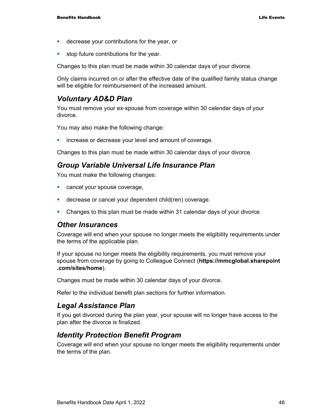- **EXEC** decrease your contributions for the year, or
- **stop future contributions for the year.**

Changes to this plan must be made within 30 calendar days of your divorce.

Only claims incurred on or after the effective date of the qualified family status change will be eligible for reimbursement of the increased amount.

### *Voluntary AD&D Plan*

You must remove your ex-spouse from coverage within 30 calendar days of your divorce.

You may also make the following change:

**EXEDEE INCREASE OF DECREASE YOUR LEVEL AND AMOUNT OF COVETAGE.** 

Changes to this plan must be made within 30 calendar days of your divorce.

#### *Group Variable Universal Life Insurance Plan*

You must make the following changes:

- **Cancel your spouse coverage,**
- **decrease or cancel your dependent child(ren) coverage.**
- Changes to this plan must be made within 31 calendar days of your divorce.

#### *Other Insurances*

Coverage will end when your spouse no longer meets the eligibility requirements under the terms of the applicable plan.

If your spouse no longer meets the eligibility requirements, you must remove your spouse from coverage by going to Colleague Connect (**https://mmcglobal.sharepoint .com/sites/home**).

Changes must be made within 30 calendar days of your divorce.

Refer to the individual benefit plan sections for further information.

### *Legal Assistance Plan*

If you get divorced during the plan year, your spouse will no longer have access to the plan after the divorce is finalized.

### *Identity Protection Benefit Program*

Coverage will end when your spouse no longer meets the eligibility requirements under the terms of the plan.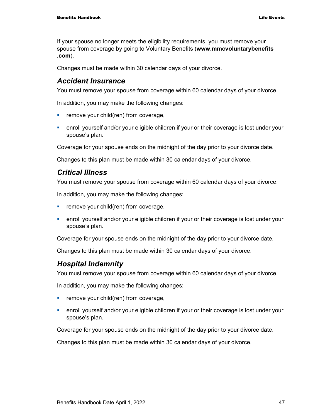If your spouse no longer meets the eligibility requirements, you must remove your spouse from coverage by going to Voluntary Benefits (**www.mmcvoluntarybenefits .com**).

Changes must be made within 30 calendar days of your divorce.

### *Accident Insurance*

You must remove your spouse from coverage within 60 calendar days of your divorce.

In addition, you may make the following changes:

- $\blacksquare$  remove your child(ren) from coverage,
- enroll yourself and/or your eligible children if your or their coverage is lost under your spouse's plan.

Coverage for your spouse ends on the midnight of the day prior to your divorce date.

Changes to this plan must be made within 30 calendar days of your divorce.

#### *Critical Illness*

You must remove your spouse from coverage within 60 calendar days of your divorce.

In addition, you may make the following changes:

- $\blacksquare$  remove your child(ren) from coverage,
- **EXED** enroll yourself and/or your eligible children if your or their coverage is lost under your spouse's plan.

Coverage for your spouse ends on the midnight of the day prior to your divorce date.

Changes to this plan must be made within 30 calendar days of your divorce.

### *Hospital Indemnity*

You must remove your spouse from coverage within 60 calendar days of your divorce.

In addition, you may make the following changes:

- **Fig. 2** remove your child(ren) from coverage,
- enroll yourself and/or your eligible children if your or their coverage is lost under your spouse's plan.

Coverage for your spouse ends on the midnight of the day prior to your divorce date.

Changes to this plan must be made within 30 calendar days of your divorce.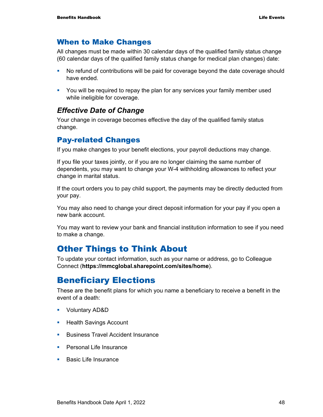### When to Make Changes

All changes must be made within 30 calendar days of the qualified family status change (60 calendar days of the qualified family status change for medical plan changes) date:

- No refund of contributions will be paid for coverage beyond the date coverage should have ended.
- You will be required to repay the plan for any services your family member used while ineligible for coverage.

### *Effective Date of Change*

Your change in coverage becomes effective the day of the qualified family status change.

### Pay-related Changes

If you make changes to your benefit elections, your payroll deductions may change.

If you file your taxes jointly, or if you are no longer claiming the same number of dependents, you may want to change your W-4 withholding allowances to reflect your change in marital status.

If the court orders you to pay child support, the payments may be directly deducted from your pay.

You may also need to change your direct deposit information for your pay if you open a new bank account.

You may want to review your bank and financial institution information to see if you need to make a change.

## Other Things to Think About

To update your contact information, such as your name or address, go to Colleague Connect (**https://mmcglobal.sharepoint.com/sites/home**).

## Beneficiary Elections

These are the benefit plans for which you name a beneficiary to receive a benefit in the event of a death:

- Voluntary AD&D
- **Health Savings Account**
- **Business Travel Accident Insurance**
- **Personal Life Insurance**
- **Basic Life Insurance**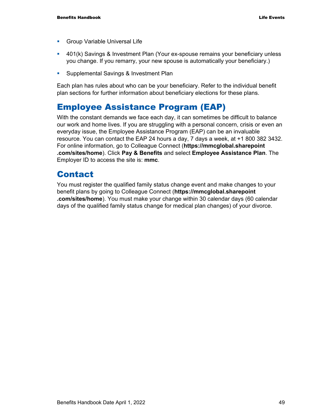- **Group Variable Universal Life**
- 401(k) Savings & Investment Plan (Your ex-spouse remains your beneficiary unless you change. If you remarry, your new spouse is automatically your beneficiary.)
- **Supplemental Savings & Investment Plan**

Each plan has rules about who can be your beneficiary. Refer to the individual benefit plan sections for further information about beneficiary elections for these plans.

## Employee Assistance Program (EAP)

With the constant demands we face each day, it can sometimes be difficult to balance our work and home lives. If you are struggling with a personal concern, crisis or even an everyday issue, the Employee Assistance Program (EAP) can be an invaluable resource. You can contact the EAP 24 hours a day, 7 days a week, at +1 800 382 3432. For online information, go to Colleague Connect (**https://mmcglobal.sharepoint .com/sites/home**). Click **Pay & Benefits** and select **Employee Assistance Plan**. The Employer ID to access the site is: **mmc**.

## Contact

You must register the qualified family status change event and make changes to your benefit plans by going to Colleague Connect (**https://mmcglobal.sharepoint .com/sites/home**). You must make your change within 30 calendar days (60 calendar days of the qualified family status change for medical plan changes) of your divorce.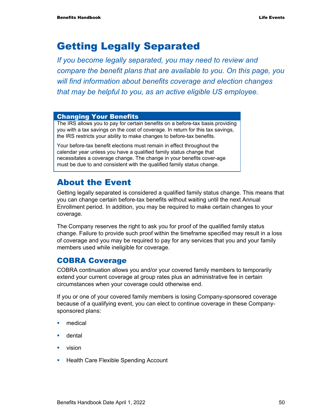# Getting Legally Separated

*If you become legally separated, you may need to review and compare the benefit plans that are available to you. On this page, you will find information about benefits coverage and election changes that may be helpful to you, as an active eligible US employee.* 

#### Changing Your Benefits

The IRS allows you to pay for certain benefits on a before-tax basis providing you with a tax savings on the cost of coverage. In return for this tax savings, the IRS restricts your ability to make changes to before-tax benefits.

Your before-tax benefit elections must remain in effect throughout the calendar year unless you have a qualified family status change that necessitates a coverage change. The change in your benefits cover-age must be due to and consistent with the qualified family status change.

## About the Event

Getting legally separated is considered a qualified family status change. This means that you can change certain before-tax benefits without waiting until the next Annual Enrollment period. In addition, you may be required to make certain changes to your coverage.

The Company reserves the right to ask you for proof of the qualified family status change. Failure to provide such proof within the timeframe specified may result in a loss of coverage and you may be required to pay for any services that you and your family members used while ineligible for coverage.

### COBRA Coverage

COBRA continuation allows you and/or your covered family members to temporarily extend your current coverage at group rates plus an administrative fee in certain circumstances when your coverage could otherwise end.

If you or one of your covered family members is losing Company-sponsored coverage because of a qualifying event, you can elect to continue coverage in these Companysponsored plans:

- medical
- **u** dental
- vision
- **Health Care Flexible Spending Account**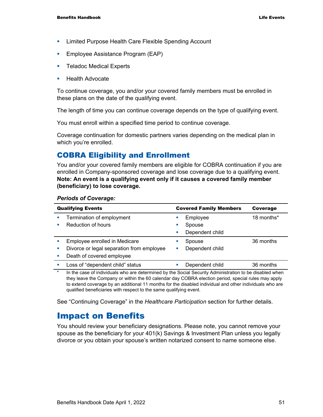- **EXECT** Limited Purpose Health Care Flexible Spending Account
- **Employee Assistance Program (EAP)**
- **Teladoc Medical Experts**
- **Health Advocate**

To continue coverage, you and/or your covered family members must be enrolled in these plans on the date of the qualifying event.

The length of time you can continue coverage depends on the type of qualifying event.

You must enroll within a specified time period to continue coverage.

Coverage continuation for domestic partners varies depending on the medical plan in which you're enrolled.

### COBRA Eligibility and Enrollment

You and/or your covered family members are eligible for COBRA continuation if you are enrolled in Company-sponsored coverage and lose coverage due to a qualifying event. **Note: An event is a qualifying event only if it causes a covered family member (beneficiary) to lose coverage.**

#### *Periods of Coverage:*

| <b>Qualifying Events</b> |                                                                                                                         |   | <b>Covered Family Members</b> | <b>Coverage</b> |  |
|--------------------------|-------------------------------------------------------------------------------------------------------------------------|---|-------------------------------|-----------------|--|
|                          | Termination of employment                                                                                               |   | Employee                      | 18 months*      |  |
|                          | Reduction of hours                                                                                                      |   | Spouse                        |                 |  |
|                          |                                                                                                                         | п | Dependent child               |                 |  |
|                          | Employee enrolled in Medicare                                                                                           |   | Spouse                        | 36 months       |  |
|                          | Divorce or legal separation from employee                                                                               |   | Dependent child               |                 |  |
|                          | Death of covered employee                                                                                               |   |                               |                 |  |
|                          | Loss of "dependent child" status                                                                                        |   | Dependent child               | 36 months       |  |
| $\frac{1}{2}$            | the Alexander of the Modelle and a computational territory Oracle Oracle Administration Archives to alternational color |   |                               |                 |  |

In the case of individuals who are determined by the Social Security Administration to be disabled when they leave the Company or within the 60 calendar day COBRA election period, special rules may apply to extend coverage by an additional 11 months for the disabled individual and other individuals who are qualified beneficiaries with respect to the same qualifying event.

See "Continuing Coverage" in the *Healthcare Participation* section for further details.

### Impact on Benefits

You should review your beneficiary designations. Please note, you cannot remove your spouse as the beneficiary for your 401(k) Savings & Investment Plan unless you legally divorce or you obtain your spouse's written notarized consent to name someone else.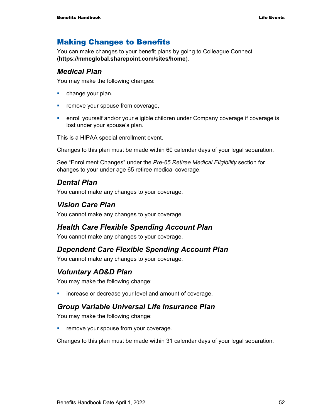### Making Changes to Benefits

You can make changes to your benefit plans by going to Colleague Connect (**https://mmcglobal.sharepoint.com/sites/home**).

#### *Medical Plan*

You may make the following changes:

- **change your plan,**
- **Fuller** remove your spouse from coverage,
- enroll yourself and/or your eligible children under Company coverage if coverage is lost under your spouse's plan.

This is a HIPAA special enrollment event.

Changes to this plan must be made within 60 calendar days of your legal separation.

See "Enrollment Changes" under the *Pre-65 Retiree Medical Eligibility* section for changes to your under age 65 retiree medical coverage.

### *Dental Plan*

You cannot make any changes to your coverage.

### *Vision Care Plan*

You cannot make any changes to your coverage.

### *Health Care Flexible Spending Account Plan*

You cannot make any changes to your coverage.

### *Dependent Care Flexible Spending Account Plan*

You cannot make any changes to your coverage.

### *Voluntary AD&D Plan*

You may make the following change:

**EXEDEE A** increase or decrease your level and amount of coverage.

### *Group Variable Universal Life Insurance Plan*

You may make the following change:

**•** remove your spouse from your coverage.

Changes to this plan must be made within 31 calendar days of your legal separation.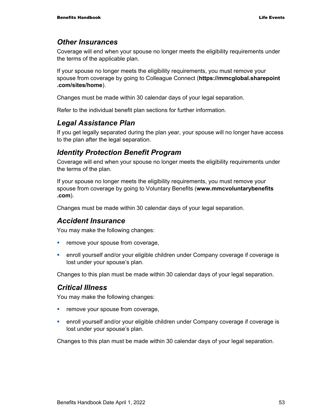#### *Other Insurances*

Coverage will end when your spouse no longer meets the eligibility requirements under the terms of the applicable plan.

If your spouse no longer meets the eligibility requirements, you must remove your spouse from coverage by going to Colleague Connect (**https://mmcglobal.sharepoint .com/sites/home**).

Changes must be made within 30 calendar days of your legal separation.

Refer to the individual benefit plan sections for further information.

#### *Legal Assistance Plan*

If you get legally separated during the plan year, your spouse will no longer have access to the plan after the legal separation.

#### *Identity Protection Benefit Program*

Coverage will end when your spouse no longer meets the eligibility requirements under the terms of the plan.

If your spouse no longer meets the eligibility requirements, you must remove your spouse from coverage by going to Voluntary Benefits (**www.mmcvoluntarybenefits .com**).

Changes must be made within 30 calendar days of your legal separation.

#### *Accident Insurance*

You may make the following changes:

- **•** remove your spouse from coverage,
- enroll yourself and/or your eligible children under Company coverage if coverage is lost under your spouse's plan.

Changes to this plan must be made within 30 calendar days of your legal separation.

#### *Critical Illness*

You may make the following changes:

- **Fuller** remove your spouse from coverage,
- enroll yourself and/or your eligible children under Company coverage if coverage is lost under your spouse's plan.

Changes to this plan must be made within 30 calendar days of your legal separation.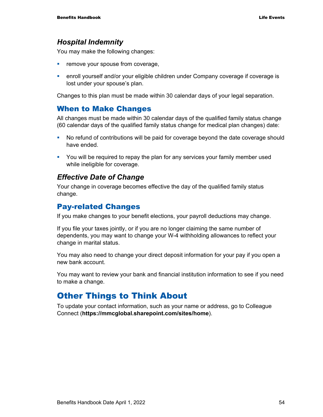### *Hospital Indemnity*

You may make the following changes:

- **Fuller** remove your spouse from coverage,
- enroll yourself and/or your eligible children under Company coverage if coverage is lost under your spouse's plan.

Changes to this plan must be made within 30 calendar days of your legal separation.

#### When to Make Changes

All changes must be made within 30 calendar days of the qualified family status change (60 calendar days of the qualified family status change for medical plan changes) date:

- No refund of contributions will be paid for coverage beyond the date coverage should have ended.
- You will be required to repay the plan for any services your family member used while ineligible for coverage.

#### *Effective Date of Change*

Your change in coverage becomes effective the day of the qualified family status change.

### Pay-related Changes

If you make changes to your benefit elections, your payroll deductions may change.

If you file your taxes jointly, or if you are no longer claiming the same number of dependents, you may want to change your W-4 withholding allowances to reflect your change in marital status.

You may also need to change your direct deposit information for your pay if you open a new bank account.

You may want to review your bank and financial institution information to see if you need to make a change.

## Other Things to Think About

To update your contact information, such as your name or address, go to Colleague Connect (**https://mmcglobal.sharepoint.com/sites/home**).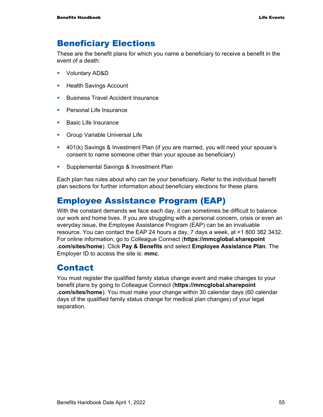## Beneficiary Elections

These are the benefit plans for which you name a beneficiary to receive a benefit in the event of a death:

- Voluntary AD&D
- **Health Savings Account**
- **Business Travel Accident Insurance**
- **Personal Life Insurance**
- **Basic Life Insurance**
- **Group Variable Universal Life**
- 401(k) Savings & Investment Plan (if you are married, you will need your spouse's consent to name someone other than your spouse as beneficiary)
- **Supplemental Savings & Investment Plan**

Each plan has rules about who can be your beneficiary. Refer to the individual benefit plan sections for further information about beneficiary elections for these plans.

## Employee Assistance Program (EAP)

With the constant demands we face each day, it can sometimes be difficult to balance our work and home lives. If you are struggling with a personal concern, crisis or even an everyday issue, the Employee Assistance Program (EAP) can be an invaluable resource. You can contact the EAP 24 hours a day, 7 days a week, at +1 800 382 3432. For online information, go to Colleague Connect (**https://mmcglobal.sharepoint .com/sites/home**). Click **Pay & Benefits** and select **Employee Assistance Plan**. The Employer ID to access the site is: **mmc**.

## **Contact**

You must register the qualified family status change event and make changes to your benefit plans by going to Colleague Connect (**https://mmcglobal.sharepoint .com/sites/home**). You must make your change within 30 calendar days (60 calendar days of the qualified family status change for medical plan changes) of your legal separation.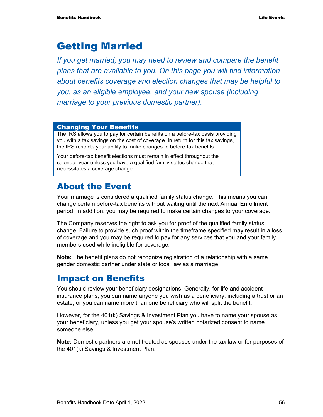# Getting Married

*If you get married, you may need to review and compare the benefit plans that are available to you. On this page you will find information about benefits coverage and election changes that may be helpful to you, as an eligible employee, and your new spouse (including marriage to your previous domestic partner).* 

#### Changing Your Benefits

The IRS allows you to pay for certain benefits on a before-tax basis providing you with a tax savings on the cost of coverage. In return for this tax savings, the IRS restricts your ability to make changes to before-tax benefits.

Your before-tax benefit elections must remain in effect throughout the calendar year unless you have a qualified family status change that necessitates a coverage change.

## About the Event

Your marriage is considered a qualified family status change. This means you can change certain before-tax benefits without waiting until the next Annual Enrollment period. In addition, you may be required to make certain changes to your coverage.

The Company reserves the right to ask you for proof of the qualified family status change. Failure to provide such proof within the timeframe specified may result in a loss of coverage and you may be required to pay for any services that you and your family members used while ineligible for coverage.

**Note:** The benefit plans do not recognize registration of a relationship with a same gender domestic partner under state or local law as a marriage.

### Impact on Benefits

You should review your beneficiary designations. Generally, for life and accident insurance plans, you can name anyone you wish as a beneficiary, including a trust or an estate, or you can name more than one beneficiary who will split the benefit.

However, for the 401(k) Savings & Investment Plan you have to name your spouse as your beneficiary, unless you get your spouse's written notarized consent to name someone else.

**Note:** Domestic partners are not treated as spouses under the tax law or for purposes of the 401(k) Savings & Investment Plan.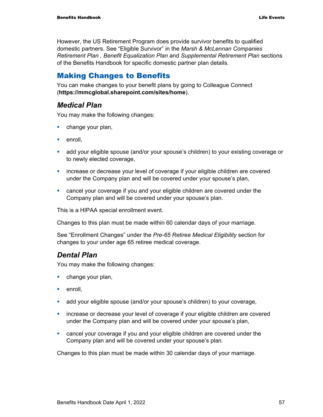However, the US Retirement Program does provide survivor benefits to qualified domestic partners. See "Eligible Survivor" in the *Marsh & McLennan Companies Retirement Plan , Benefit Equalization Plan* and *Supplemental Retirement Plan* sections of the Benefits Handbook for specific domestic partner plan details.

### Making Changes to Benefits

You can make changes to your benefit plans by going to Colleague Connect (**https://mmcglobal.sharepoint.com/sites/home**).

### *Medical Plan*

You may make the following changes:

- **change your plan,**
- $\blacksquare$  enroll,
- add your eligible spouse (and/or your spouse's children) to your existing coverage or to newly elected coverage,
- increase or decrease your level of coverage if your eligible children are covered under the Company plan and will be covered under your spouse's plan,
- cancel your coverage if you and your eligible children are covered under the Company plan and will be covered under your spouse's plan.

This is a HIPAA special enrollment event.

Changes to this plan must be made within 60 calendar days of your marriage.

See "Enrollment Changes" under the *Pre-65 Retiree Medical Eligibility* section for changes to your under age 65 retiree medical coverage.

### *Dental Plan*

You may make the following changes:

- **•** change your plan,
- **enroll**.
- add your eligible spouse (and/or your spouse's children) to your coverage,
- increase or decrease your level of coverage if your eligible children are covered under the Company plan and will be covered under your spouse's plan,
- cancel your coverage if you and your eligible children are covered under the Company plan and will be covered under your spouse's plan.

Changes to this plan must be made within 30 calendar days of your marriage.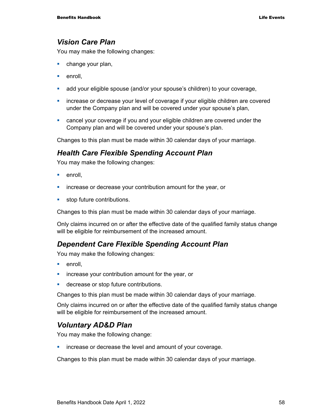#### *Vision Care Plan*

You may make the following changes:

- **change your plan,**
- $\blacksquare$  enroll.
- add your eligible spouse (and/or your spouse's children) to your coverage,
- increase or decrease your level of coverage if your eligible children are covered under the Company plan and will be covered under your spouse's plan,
- cancel your coverage if you and your eligible children are covered under the Company plan and will be covered under your spouse's plan.

Changes to this plan must be made within 30 calendar days of your marriage.

#### *Health Care Flexible Spending Account Plan*

You may make the following changes:

- **enroll**.
- **EXED** increase or decrease your contribution amount for the year, or
- **stop future contributions.**

Changes to this plan must be made within 30 calendar days of your marriage.

Only claims incurred on or after the effective date of the qualified family status change will be eligible for reimbursement of the increased amount.

#### *Dependent Care Flexible Spending Account Plan*

You may make the following changes:

- enroll,
- **EXED** increase your contribution amount for the year, or
- **decrease or stop future contributions.**

Changes to this plan must be made within 30 calendar days of your marriage.

Only claims incurred on or after the effective date of the qualified family status change will be eligible for reimbursement of the increased amount.

#### *Voluntary AD&D Plan*

You may make the following change:

**EXEDERE** increase or decrease the level and amount of your coverage.

Changes to this plan must be made within 30 calendar days of your marriage.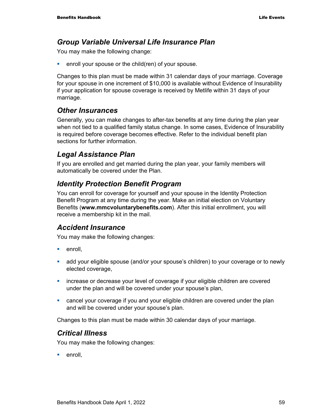### *Group Variable Universal Life Insurance Plan*

You may make the following change:

**EXECT** enroll your spouse or the child(ren) of your spouse.

Changes to this plan must be made within 31 calendar days of your marriage. Coverage for your spouse in one increment of \$10,000 is available without Evidence of Insurability if your application for spouse coverage is received by Metlife within 31 days of your marriage.

### *Other Insurances*

Generally, you can make changes to after-tax benefits at any time during the plan year when not tied to a qualified family status change. In some cases, Evidence of Insurability is required before coverage becomes effective. Refer to the individual benefit plan sections for further information.

### *Legal Assistance Plan*

If you are enrolled and get married during the plan year, your family members will automatically be covered under the Plan.

### *Identity Protection Benefit Program*

You can enroll for coverage for yourself and your spouse in the Identity Protection Benefit Program at any time during the year. Make an initial election on Voluntary Benefits (**www.mmcvoluntarybenefits.com**). After this initial enrollment, you will receive a membership kit in the mail.

#### *Accident Insurance*

You may make the following changes:

- $\blacksquare$  enroll.
- add your eligible spouse (and/or your spouse's children) to your coverage or to newly elected coverage,
- increase or decrease your level of coverage if your eligible children are covered under the plan and will be covered under your spouse's plan,
- cancel your coverage if you and your eligible children are covered under the plan and will be covered under your spouse's plan.

Changes to this plan must be made within 30 calendar days of your marriage.

#### *Critical Illness*

You may make the following changes:

■ enroll.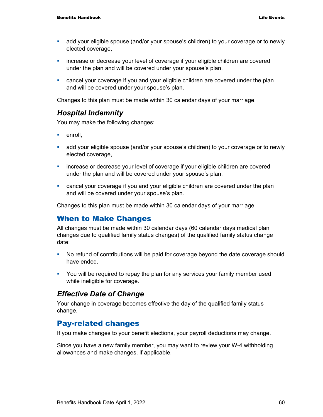- add your eligible spouse (and/or your spouse's children) to your coverage or to newly elected coverage,
- increase or decrease your level of coverage if your eligible children are covered under the plan and will be covered under your spouse's plan,
- cancel your coverage if you and your eligible children are covered under the plan and will be covered under your spouse's plan.

Changes to this plan must be made within 30 calendar days of your marriage.

#### *Hospital Indemnity*

You may make the following changes:

- $e$ nroll.
- add your eligible spouse (and/or your spouse's children) to your coverage or to newly elected coverage,
- increase or decrease your level of coverage if your eligible children are covered under the plan and will be covered under your spouse's plan,
- cancel your coverage if you and your eligible children are covered under the plan and will be covered under your spouse's plan.

Changes to this plan must be made within 30 calendar days of your marriage.

#### When to Make Changes

All changes must be made within 30 calendar days (60 calendar days medical plan changes due to qualified family status changes) of the qualified family status change date:

- No refund of contributions will be paid for coverage beyond the date coverage should have ended.
- You will be required to repay the plan for any services your family member used while ineligible for coverage.

#### *Effective Date of Change*

Your change in coverage becomes effective the day of the qualified family status change.

### Pay-related changes

If you make changes to your benefit elections, your payroll deductions may change.

Since you have a new family member, you may want to review your W-4 withholding allowances and make changes, if applicable.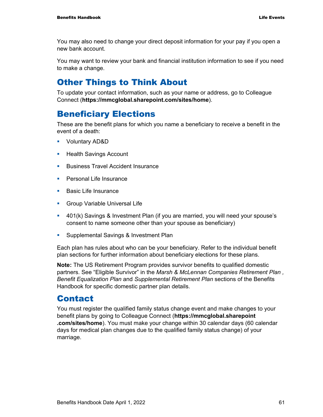You may also need to change your direct deposit information for your pay if you open a new bank account.

You may want to review your bank and financial institution information to see if you need to make a change.

## Other Things to Think About

To update your contact information, such as your name or address, go to Colleague Connect (**https://mmcglobal.sharepoint.com/sites/home**).

## Beneficiary Elections

These are the benefit plans for which you name a beneficiary to receive a benefit in the event of a death:

- Voluntary AD&D
- **Health Savings Account**
- **Business Travel Accident Insurance**
- **Personal Life Insurance**
- **Basic Life Insurance**
- **Group Variable Universal Life**
- 401(k) Savings & Investment Plan (if you are married, you will need your spouse's consent to name someone other than your spouse as beneficiary)
- **Supplemental Savings & Investment Plan**

Each plan has rules about who can be your beneficiary. Refer to the individual benefit plan sections for further information about beneficiary elections for these plans.

**Note:** The US Retirement Program provides survivor benefits to qualified domestic partners. See "Eligible Survivor" in the *Marsh & McLennan Companies Retirement Plan , Benefit Equalization Plan* and *Supplemental Retirement Plan* sections of the Benefits Handbook for specific domestic partner plan details.

### Contact

You must register the qualified family status change event and make changes to your benefit plans by going to Colleague Connect (**https://mmcglobal.sharepoint .com/sites/home**). You must make your change within 30 calendar days (60 calendar days for medical plan changes due to the qualified family status change) of your marriage.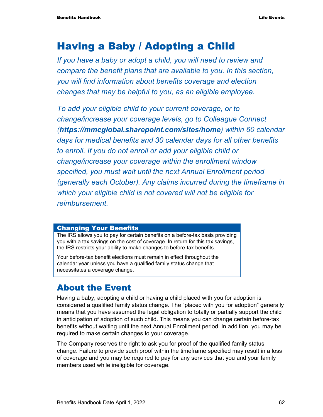# Having a Baby / Adopting a Child

*If you have a baby or adopt a child, you will need to review and compare the benefit plans that are available to you. In this section, you will find information about benefits coverage and election changes that may be helpful to you, as an eligible employee.* 

*To add your eligible child to your current coverage, or to change/increase your coverage levels, go to Colleague Connect (https://mmcglobal.sharepoint.com/sites/home) within 60 calendar days for medical benefits and 30 calendar days for all other benefits to enroll. If you do not enroll or add your eligible child or change/increase your coverage within the enrollment window specified, you must wait until the next Annual Enrollment period (generally each October). Any claims incurred during the timeframe in which your eligible child is not covered will not be eligible for reimbursement.* 

#### Changing Your Benefits

The IRS allows you to pay for certain benefits on a before-tax basis providing you with a tax savings on the cost of coverage. In return for this tax savings, the IRS restricts your ability to make changes to before-tax benefits.

Your before-tax benefit elections must remain in effect throughout the calendar year unless you have a qualified family status change that necessitates a coverage change.

## About the Event

Having a baby, adopting a child or having a child placed with you for adoption is considered a qualified family status change. The "placed with you for adoption" generally means that you have assumed the legal obligation to totally or partially support the child in anticipation of adoption of such child. This means you can change certain before-tax benefits without waiting until the next Annual Enrollment period. In addition, you may be required to make certain changes to your coverage.

The Company reserves the right to ask you for proof of the qualified family status change. Failure to provide such proof within the timeframe specified may result in a loss of coverage and you may be required to pay for any services that you and your family members used while ineligible for coverage.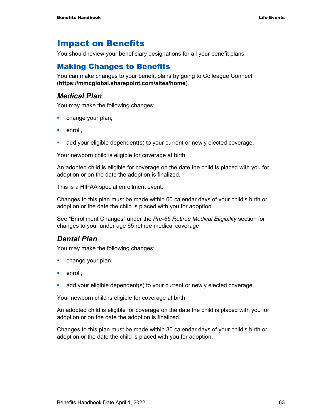## Impact on Benefits

You should review your beneficiary designations for all your benefit plans.

### Making Changes to Benefits

You can make changes to your benefit plans by going to Colleague Connect (**https://mmcglobal.sharepoint.com/sites/home**).

#### *Medical Plan*

You may make the following changes:

- **change your plan,**
- **enroll**,
- add your eligible dependent(s) to your current or newly elected coverage.

Your newborn child is eligible for coverage at birth.

An adopted child is eligible for coverage on the date the child is placed with you for adoption or on the date the adoption is finalized.

This is a HIPAA special enrollment event.

Changes to this plan must be made within 60 calendar days of your child's birth or adoption or the date the child is placed with you for adoption.

See "Enrollment Changes" under the *Pre-65 Retiree Medical Eligibility* section for changes to your under age 65 retiree medical coverage.

### *Dental Plan*

You may make the following changes:

- **change your plan,**
- $\blacksquare$  enroll.
- add your eligible dependent(s) to your current or newly elected coverage.

Your newborn child is eligible for coverage at birth.

An adopted child is eligible for coverage on the date the child is placed with you for adoption or on the date the adoption is finalized.

Changes to this plan must be made within 30 calendar days of your child's birth or adoption or the date the child is placed with you for adoption.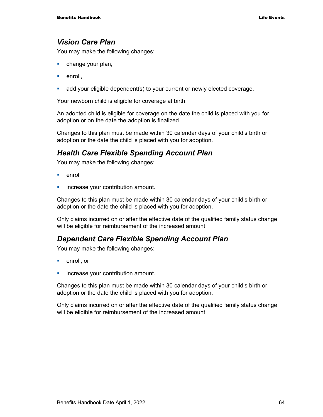#### *Vision Care Plan*

You may make the following changes:

- **change your plan,**
- $\blacksquare$  enroll.
- add your eligible dependent(s) to your current or newly elected coverage.

Your newborn child is eligible for coverage at birth.

An adopted child is eligible for coverage on the date the child is placed with you for adoption or on the date the adoption is finalized.

Changes to this plan must be made within 30 calendar days of your child's birth or adoption or the date the child is placed with you for adoption.

### *Health Care Flexible Spending Account Plan*

You may make the following changes:

- $\blacksquare$  enroll
- **increase your contribution amount.**

Changes to this plan must be made within 30 calendar days of your child's birth or adoption or the date the child is placed with you for adoption.

Only claims incurred on or after the effective date of the qualified family status change will be eligible for reimbursement of the increased amount.

#### *Dependent Care Flexible Spending Account Plan*

You may make the following changes:

- **enroll**, or
- **increase your contribution amount.**

Changes to this plan must be made within 30 calendar days of your child's birth or adoption or the date the child is placed with you for adoption.

Only claims incurred on or after the effective date of the qualified family status change will be eligible for reimbursement of the increased amount.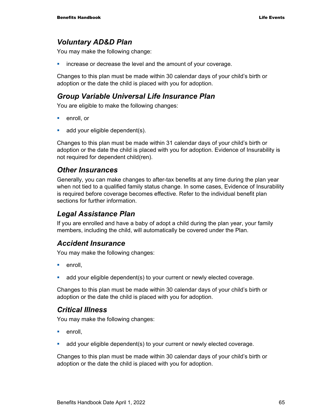### *Voluntary AD&D Plan*

You may make the following change:

**EXED** increase or decrease the level and the amount of your coverage.

Changes to this plan must be made within 30 calendar days of your child's birth or adoption or the date the child is placed with you for adoption.

#### *Group Variable Universal Life Insurance Plan*

You are eligible to make the following changes:

- **enroll**, or
- add your eligible dependent(s).

Changes to this plan must be made within 31 calendar days of your child's birth or adoption or the date the child is placed with you for adoption. Evidence of Insurability is not required for dependent child(ren).

#### *Other Insurances*

Generally, you can make changes to after-tax benefits at any time during the plan year when not tied to a qualified family status change. In some cases, Evidence of Insurability is required before coverage becomes effective. Refer to the individual benefit plan sections for further information.

#### *Legal Assistance Plan*

If you are enrolled and have a baby of adopt a child during the plan year, your family members, including the child, will automatically be covered under the Plan.

#### *Accident Insurance*

You may make the following changes:

- $\blacksquare$  enroll.
- add your eligible dependent(s) to your current or newly elected coverage.

Changes to this plan must be made within 30 calendar days of your child's birth or adoption or the date the child is placed with you for adoption.

#### *Critical Illness*

You may make the following changes:

- **enroll**.
- add your eligible dependent(s) to your current or newly elected coverage.

Changes to this plan must be made within 30 calendar days of your child's birth or adoption or the date the child is placed with you for adoption.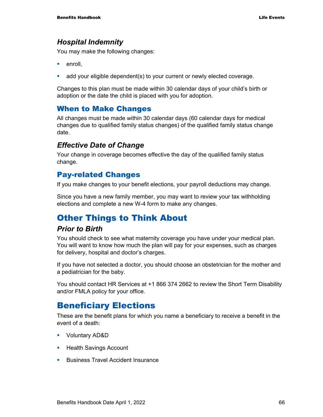### *Hospital Indemnity*

You may make the following changes:

- **enroll**.
- add your eligible dependent(s) to your current or newly elected coverage.

Changes to this plan must be made within 30 calendar days of your child's birth or adoption or the date the child is placed with you for adoption.

### When to Make Changes

All changes must be made within 30 calendar days (60 calendar days for medical changes due to qualified family status changes) of the qualified family status change date.

### *Effective Date of Change*

Your change in coverage becomes effective the day of the qualified family status change.

### Pay-related Changes

If you make changes to your benefit elections, your payroll deductions may change.

Since you have a new family member, you may want to review your tax withholding elections and complete a new W-4 form to make any changes.

## Other Things to Think About

#### *Prior to Birth*

You should check to see what maternity coverage you have under your medical plan. You will want to know how much the plan will pay for your expenses, such as charges for delivery, hospital and doctor's charges.

If you have not selected a doctor, you should choose an obstetrician for the mother and a pediatrician for the baby.

You should contact HR Services at +1 866 374 2662 to review the Short Term Disability and/or FMLA policy for your office.

## Beneficiary Elections

These are the benefit plans for which you name a beneficiary to receive a benefit in the event of a death:

- Voluntary AD&D
- **Health Savings Account**
- **Business Travel Accident Insurance**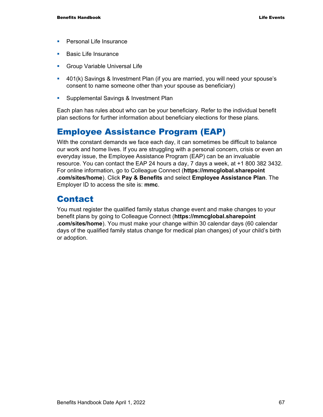- **Personal Life Insurance**
- **Basic Life Insurance**
- **Group Variable Universal Life**
- 401(k) Savings & Investment Plan (if you are married, you will need your spouse's consent to name someone other than your spouse as beneficiary)
- **Supplemental Savings & Investment Plan**

Each plan has rules about who can be your beneficiary. Refer to the individual benefit plan sections for further information about beneficiary elections for these plans.

## Employee Assistance Program (EAP)

With the constant demands we face each day, it can sometimes be difficult to balance our work and home lives. If you are struggling with a personal concern, crisis or even an everyday issue, the Employee Assistance Program (EAP) can be an invaluable resource. You can contact the EAP 24 hours a day, 7 days a week, at +1 800 382 3432. For online information, go to Colleague Connect (**https://mmcglobal.sharepoint .com/sites/home**). Click **Pay & Benefits** and select **Employee Assistance Plan**. The Employer ID to access the site is: **mmc**.

## Contact

You must register the qualified family status change event and make changes to your benefit plans by going to Colleague Connect (**https://mmcglobal.sharepoint .com/sites/home**). You must make your change within 30 calendar days (60 calendar days of the qualified family status change for medical plan changes) of your child's birth or adoption.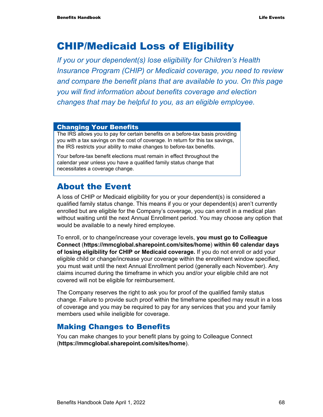# CHIP/Medicaid Loss of Eligibility

*If you or your dependent(s) lose eligibility for Children's Health Insurance Program (CHIP) or Medicaid coverage, you need to review and compare the benefit plans that are available to you. On this page you will find information about benefits coverage and election changes that may be helpful to you, as an eligible employee.* 

#### Changing Your Benefits

The IRS allows you to pay for certain benefits on a before-tax basis providing you with a tax savings on the cost of coverage. In return for this tax savings, the IRS restricts your ability to make changes to before-tax benefits.

Your before-tax benefit elections must remain in effect throughout the calendar year unless you have a qualified family status change that necessitates a coverage change.

## About the Event

A loss of CHIP or Medicaid eligibility for you or your dependent(s) is considered a qualified family status change. This means if you or your dependent(s) aren't currently enrolled but are eligible for the Company's coverage, you can enroll in a medical plan without waiting until the next Annual Enrollment period. You may choose any option that would be available to a newly hired employee.

To enroll, or to change/increase your coverage levels, **you must go to Colleague Connect** (**https://mmcglobal.sharepoint.com/sites/home**) **within 60 calendar days of losing eligibility for CHIP or Medicaid coverage.** If you do not enroll or add your eligible child or change/increase your coverage within the enrollment window specified, you must wait until the next Annual Enrollment period (generally each November). Any claims incurred during the timeframe in which you and/or your eligible child are not covered will not be eligible for reimbursement.

The Company reserves the right to ask you for proof of the qualified family status change. Failure to provide such proof within the timeframe specified may result in a loss of coverage and you may be required to pay for any services that you and your family members used while ineligible for coverage.

### Making Changes to Benefits

You can make changes to your benefit plans by going to Colleague Connect (**https://mmcglobal.sharepoint.com/sites/home**).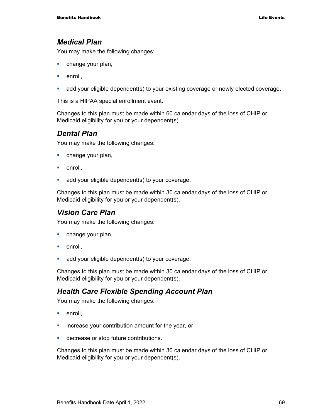#### *Medical Plan*

You may make the following changes:

- **change your plan,**
- $e$ nroll.
- add your eligible dependent(s) to your existing coverage or newly elected coverage.

This is a HIPAA special enrollment event.

Changes to this plan must be made within 60 calendar days of the loss of CHIP or Medicaid eligibility for you or your dependent(s).

### *Dental Plan*

You may make the following changes:

- **change your plan,**
- **enroll**.
- **add your eligible dependent(s) to your coverage.**

Changes to this plan must be made within 30 calendar days of the loss of CHIP or Medicaid eligibility for you or your dependent(s).

### *Vision Care Plan*

You may make the following changes:

- **change your plan,**
- **enroll**.
- **add your eligible dependent(s) to your coverage.**

Changes to this plan must be made within 30 calendar days of the loss of CHIP or Medicaid eligibility for you or your dependent(s).

### *Health Care Flexible Spending Account Plan*

You may make the following changes:

- **enroll**.
- **EXED** increase your contribution amount for the year, or
- **decrease or stop future contributions.**

Changes to this plan must be made within 30 calendar days of the loss of CHIP or Medicaid eligibility for you or your dependent(s).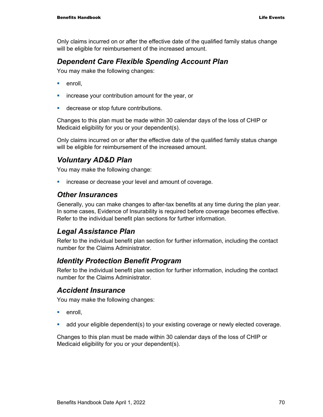Only claims incurred on or after the effective date of the qualified family status change will be eligible for reimbursement of the increased amount.

### *Dependent Care Flexible Spending Account Plan*

You may make the following changes:

- $e$ nroll.
- **EXED** increase your contribution amount for the year, or
- **decrease or stop future contributions.**

Changes to this plan must be made within 30 calendar days of the loss of CHIP or Medicaid eligibility for you or your dependent(s).

Only claims incurred on or after the effective date of the qualified family status change will be eligible for reimbursement of the increased amount.

### *Voluntary AD&D Plan*

You may make the following change:

**EXEDER** increase or decrease your level and amount of coverage.

#### *Other Insurances*

Generally, you can make changes to after-tax benefits at any time during the plan year. In some cases, Evidence of Insurability is required before coverage becomes effective. Refer to the individual benefit plan sections for further information.

### *Legal Assistance Plan*

Refer to the individual benefit plan section for further information, including the contact number for the Claims Administrator.

### *Identity Protection Benefit Program*

Refer to the individual benefit plan section for further information, including the contact number for the Claims Administrator.

### *Accident Insurance*

You may make the following changes:

- **enroll**,
- add your eligible dependent(s) to your existing coverage or newly elected coverage.

Changes to this plan must be made within 30 calendar days of the loss of CHIP or Medicaid eligibility for you or your dependent(s).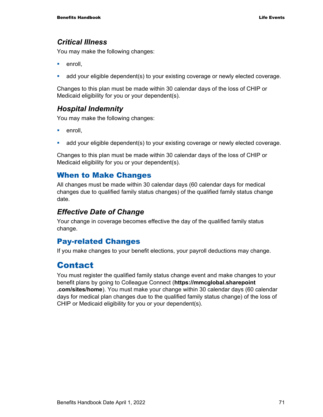#### *Critical Illness*

You may make the following changes:

- **enroll**.
- add your eligible dependent(s) to your existing coverage or newly elected coverage.

Changes to this plan must be made within 30 calendar days of the loss of CHIP or Medicaid eligibility for you or your dependent(s).

### *Hospital Indemnity*

You may make the following changes:

- **enroll**.
- add your eligible dependent(s) to your existing coverage or newly elected coverage.

Changes to this plan must be made within 30 calendar days of the loss of CHIP or Medicaid eligibility for you or your dependent(s).

#### When to Make Changes

All changes must be made within 30 calendar days (60 calendar days for medical changes due to qualified family status changes) of the qualified family status change date.

### *Effective Date of Change*

Your change in coverage becomes effective the day of the qualified family status change.

### Pay-related Changes

If you make changes to your benefit elections, your payroll deductions may change.

## **Contact**

You must register the qualified family status change event and make changes to your benefit plans by going to Colleague Connect (**https://mmcglobal.sharepoint .com/sites/home**). You must make your change within 30 calendar days (60 calendar days for medical plan changes due to the qualified family status change) of the loss of CHIP or Medicaid eligibility for you or your dependent(s).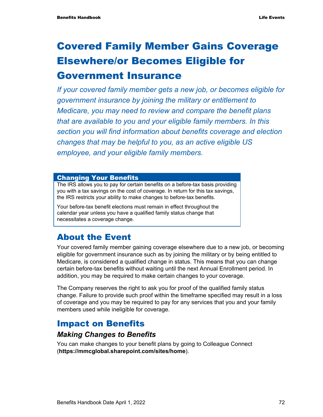# Covered Family Member Gains Coverage Elsewhere/or Becomes Eligible for Government Insurance

## *If your covered family member gets a new job, or becomes eligible for government insurance by joining the military or entitlement to Medicare, you may need to review and compare the benefit plans that are available to you and your eligible family members. In this section you will find information about benefits coverage and election changes that may be helpful to you, as an active eligible US employee, and your eligible family members.*

#### Changing Your Benefits

The IRS allows you to pay for certain benefits on a before-tax basis providing you with a tax savings on the cost of coverage. In return for this tax savings, the IRS restricts your ability to make changes to before-tax benefits.

Your before-tax benefit elections must remain in effect throughout the calendar year unless you have a qualified family status change that necessitates a coverage change.

## About the Event

Your covered family member gaining coverage elsewhere due to a new job, or becoming eligible for government insurance such as by joining the military or by being entitled to Medicare, is considered a qualified change in status. This means that you can change certain before-tax benefits without waiting until the next Annual Enrollment period. In addition, you may be required to make certain changes to your coverage.

The Company reserves the right to ask you for proof of the qualified family status change. Failure to provide such proof within the timeframe specified may result in a loss of coverage and you may be required to pay for any services that you and your family members used while ineligible for coverage.

## Impact on Benefits

### *Making Changes to Benefits*

You can make changes to your benefit plans by going to Colleague Connect (**https://mmcglobal.sharepoint.com/sites/home**).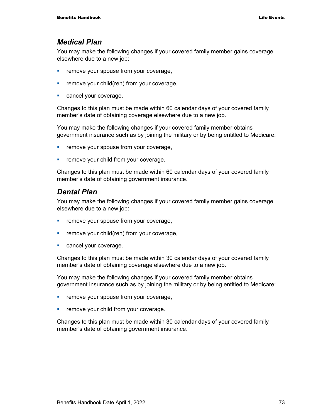#### *Medical Plan*

You may make the following changes if your covered family member gains coverage elsewhere due to a new job:

- **Fuller** remove your spouse from your coverage,
- **Fuller** remove your child(ren) from your coverage,
- **Cancel your coverage.**

Changes to this plan must be made within 60 calendar days of your covered family member's date of obtaining coverage elsewhere due to a new job.

You may make the following changes if your covered family member obtains government insurance such as by joining the military or by being entitled to Medicare:

- **Fuller** remove your spouse from your coverage,
- **Fuller** remove your child from your coverage.

Changes to this plan must be made within 60 calendar days of your covered family member's date of obtaining government insurance.

#### *Dental Plan*

You may make the following changes if your covered family member gains coverage elsewhere due to a new job:

- **F** remove your spouse from your coverage,
- $\blacksquare$  remove your child(ren) from your coverage,
- **Cancel your coverage.**

Changes to this plan must be made within 30 calendar days of your covered family member's date of obtaining coverage elsewhere due to a new job.

You may make the following changes if your covered family member obtains government insurance such as by joining the military or by being entitled to Medicare:

- **Fuller** remove your spouse from your coverage,
- **•** remove your child from your coverage.

Changes to this plan must be made within 30 calendar days of your covered family member's date of obtaining government insurance.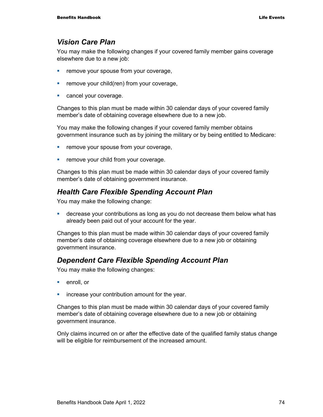### *Vision Care Plan*

You may make the following changes if your covered family member gains coverage elsewhere due to a new job:

- **Fuller** remove your spouse from your coverage,
- **Fuller** remove your child(ren) from your coverage,
- **Cancel your coverage.**

Changes to this plan must be made within 30 calendar days of your covered family member's date of obtaining coverage elsewhere due to a new job.

You may make the following changes if your covered family member obtains government insurance such as by joining the military or by being entitled to Medicare:

- **Fuller** remove your spouse from your coverage,
- **Fuller** remove your child from your coverage.

Changes to this plan must be made within 30 calendar days of your covered family member's date of obtaining government insurance.

#### *Health Care Flexible Spending Account Plan*

You may make the following change:

 decrease your contributions as long as you do not decrease them below what has already been paid out of your account for the year.

Changes to this plan must be made within 30 calendar days of your covered family member's date of obtaining coverage elsewhere due to a new job or obtaining government insurance.

#### *Dependent Care Flexible Spending Account Plan*

You may make the following changes:

- **enroll**, or
- **•** increase your contribution amount for the year.

Changes to this plan must be made within 30 calendar days of your covered family member's date of obtaining coverage elsewhere due to a new job or obtaining government insurance.

Only claims incurred on or after the effective date of the qualified family status change will be eligible for reimbursement of the increased amount.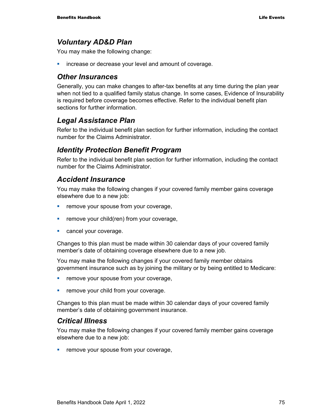### *Voluntary AD&D Plan*

You may make the following change:

increase or decrease your level and amount of coverage.

### *Other Insurances*

Generally, you can make changes to after-tax benefits at any time during the plan year when not tied to a qualified family status change. In some cases, Evidence of Insurability is required before coverage becomes effective. Refer to the individual benefit plan sections for further information.

## *Legal Assistance Plan*

Refer to the individual benefit plan section for further information, including the contact number for the Claims Administrator.

## *Identity Protection Benefit Program*

Refer to the individual benefit plan section for further information, including the contact number for the Claims Administrator.

### *Accident Insurance*

You may make the following changes if your covered family member gains coverage elsewhere due to a new job:

- **F** remove your spouse from your coverage,
- **Fig. 2** remove your child(ren) from your coverage,
- **Cancel your coverage.**

Changes to this plan must be made within 30 calendar days of your covered family member's date of obtaining coverage elsewhere due to a new job.

You may make the following changes if your covered family member obtains government insurance such as by joining the military or by being entitled to Medicare:

- **Fuller** remove your spouse from your coverage,
- **Fuller** remove your child from your coverage.

Changes to this plan must be made within 30 calendar days of your covered family member's date of obtaining government insurance.

#### *Critical Illness*

You may make the following changes if your covered family member gains coverage elsewhere due to a new job:

**Fuller** remove your spouse from your coverage,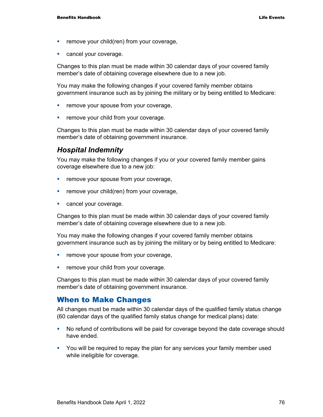- **Fuller** remove your child(ren) from your coverage,
- **Cancel your coverage.**

Changes to this plan must be made within 30 calendar days of your covered family member's date of obtaining coverage elsewhere due to a new job.

You may make the following changes if your covered family member obtains government insurance such as by joining the military or by being entitled to Medicare:

- **Fuller** remove your spouse from your coverage,
- **Fuller** remove your child from your coverage.

Changes to this plan must be made within 30 calendar days of your covered family member's date of obtaining government insurance.

### *Hospital Indemnity*

You may make the following changes if you or your covered family member gains coverage elsewhere due to a new job:

- **F** remove your spouse from your coverage,
- **Fig. 2** remove your child(ren) from your coverage,
- **Cancel your coverage.**

Changes to this plan must be made within 30 calendar days of your covered family member's date of obtaining coverage elsewhere due to a new job.

You may make the following changes if your covered family member obtains government insurance such as by joining the military or by being entitled to Medicare:

- **F** remove your spouse from your coverage,
- **Fuller** remove your child from your coverage.

Changes to this plan must be made within 30 calendar days of your covered family member's date of obtaining government insurance.

#### When to Make Changes

All changes must be made within 30 calendar days of the qualified family status change (60 calendar days of the qualified family status change for medical plans) date:

- No refund of contributions will be paid for coverage beyond the date coverage should have ended.
- You will be required to repay the plan for any services your family member used while ineligible for coverage.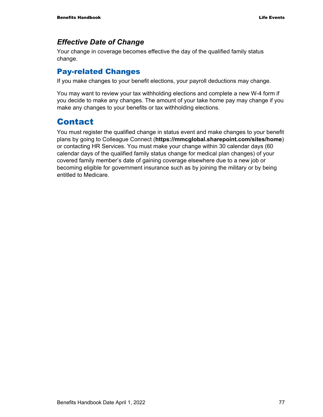## *Effective Date of Change*

Your change in coverage becomes effective the day of the qualified family status change.

## Pay-related Changes

If you make changes to your benefit elections, your payroll deductions may change.

You may want to review your tax withholding elections and complete a new W-4 form if you decide to make any changes. The amount of your take home pay may change if you make any changes to your benefits or tax withholding elections.

## Contact

You must register the qualified change in status event and make changes to your benefit plans by going to Colleague Connect (**https://mmcglobal.sharepoint.com/sites/home**) or contacting HR Services. You must make your change within 30 calendar days (60 calendar days of the qualified family status change for medical plan changes) of your covered family member's date of gaining coverage elsewhere due to a new job or becoming eligible for government insurance such as by joining the military or by being entitled to Medicare.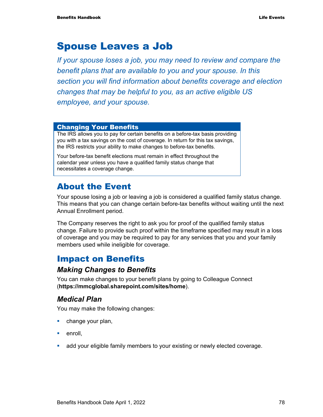## Spouse Leaves a Job

*If your spouse loses a job, you may need to review and compare the benefit plans that are available to you and your spouse. In this section you will find information about benefits coverage and election changes that may be helpful to you, as an active eligible US employee, and your spouse.* 

#### Changing Your Benefits

The IRS allows you to pay for certain benefits on a before-tax basis providing you with a tax savings on the cost of coverage. In return for this tax savings, the IRS restricts your ability to make changes to before-tax benefits.

Your before-tax benefit elections must remain in effect throughout the calendar year unless you have a qualified family status change that necessitates a coverage change.

## About the Event

Your spouse losing a job or leaving a job is considered a qualified family status change. This means that you can change certain before-tax benefits without waiting until the next Annual Enrollment period.

The Company reserves the right to ask you for proof of the qualified family status change. Failure to provide such proof within the timeframe specified may result in a loss of coverage and you may be required to pay for any services that you and your family members used while ineligible for coverage.

## Impact on Benefits

#### *Making Changes to Benefits*

You can make changes to your benefit plans by going to Colleague Connect (**https://mmcglobal.sharepoint.com/sites/home**).

## *Medical Plan*

You may make the following changes:

- **change your plan,**
- $\blacksquare$  enroll,
- add your eligible family members to your existing or newly elected coverage.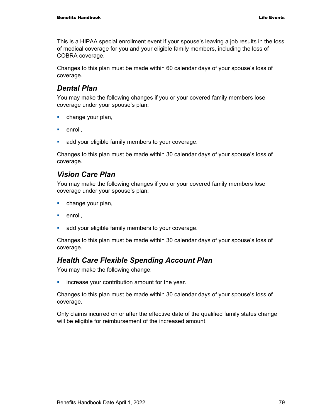This is a HIPAA special enrollment event if your spouse's leaving a job results in the loss of medical coverage for you and your eligible family members, including the loss of COBRA coverage.

Changes to this plan must be made within 60 calendar days of your spouse's loss of coverage.

## *Dental Plan*

You may make the following changes if you or your covered family members lose coverage under your spouse's plan:

- **change your plan,**
- $\blacksquare$  enroll.
- **add your eligible family members to your coverage.**

Changes to this plan must be made within 30 calendar days of your spouse's loss of coverage.

## *Vision Care Plan*

You may make the following changes if you or your covered family members lose coverage under your spouse's plan:

- **change your plan,**
- $\blacksquare$  enroll.
- **add your eligible family members to your coverage.**

Changes to this plan must be made within 30 calendar days of your spouse's loss of coverage.

## *Health Care Flexible Spending Account Plan*

You may make the following change:

**EXEDENT** increase your contribution amount for the year.

Changes to this plan must be made within 30 calendar days of your spouse's loss of coverage.

Only claims incurred on or after the effective date of the qualified family status change will be eligible for reimbursement of the increased amount.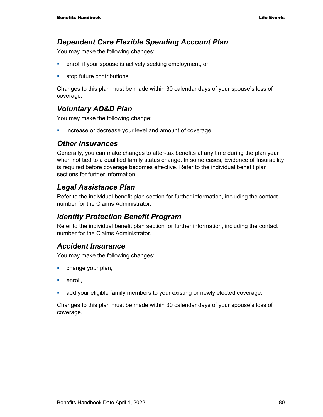### *Dependent Care Flexible Spending Account Plan*

You may make the following changes:

- **EXECT** enroll if your spouse is actively seeking employment, or
- **stop future contributions.**

Changes to this plan must be made within 30 calendar days of your spouse's loss of coverage.

## *Voluntary AD&D Plan*

You may make the following change:

**EXEDEE A** increase or decrease your level and amount of coverage.

#### *Other Insurances*

Generally, you can make changes to after-tax benefits at any time during the plan year when not tied to a qualified family status change. In some cases, Evidence of Insurability is required before coverage becomes effective. Refer to the individual benefit plan sections for further information.

## *Legal Assistance Plan*

Refer to the individual benefit plan section for further information, including the contact number for the Claims Administrator.

## *Identity Protection Benefit Program*

Refer to the individual benefit plan section for further information, including the contact number for the Claims Administrator.

#### *Accident Insurance*

You may make the following changes:

- change your plan,
- $\blacksquare$  enroll.
- **add your eligible family members to your existing or newly elected coverage.**

Changes to this plan must be made within 30 calendar days of your spouse's loss of coverage.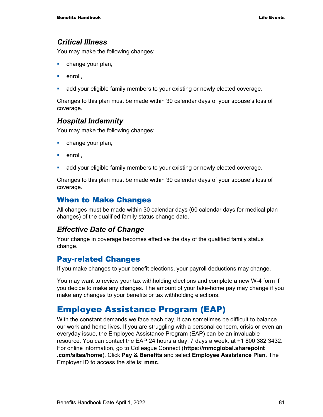#### *Critical Illness*

You may make the following changes:

- **change your plan,**
- $\blacksquare$  enroll.
- add your eligible family members to your existing or newly elected coverage.

Changes to this plan must be made within 30 calendar days of your spouse's loss of coverage.

### *Hospital Indemnity*

You may make the following changes:

- **change your plan,**
- $\blacksquare$  enroll.
- add your eligible family members to your existing or newly elected coverage.

Changes to this plan must be made within 30 calendar days of your spouse's loss of coverage.

#### When to Make Changes

All changes must be made within 30 calendar days (60 calendar days for medical plan changes) of the qualified family status change date.

#### *Effective Date of Change*

Your change in coverage becomes effective the day of the qualified family status change.

## Pay-related Changes

If you make changes to your benefit elections, your payroll deductions may change.

You may want to review your tax withholding elections and complete a new W-4 form if you decide to make any changes. The amount of your take-home pay may change if you make any changes to your benefits or tax withholding elections.

## Employee Assistance Program (EAP)

With the constant demands we face each day, it can sometimes be difficult to balance our work and home lives. If you are struggling with a personal concern, crisis or even an everyday issue, the Employee Assistance Program (EAP) can be an invaluable resource. You can contact the EAP 24 hours a day, 7 days a week, at +1 800 382 3432. For online information, go to Colleague Connect (**https://mmcglobal.sharepoint .com/sites/home**). Click **Pay & Benefits** and select **Employee Assistance Plan**. The Employer ID to access the site is: **mmc**.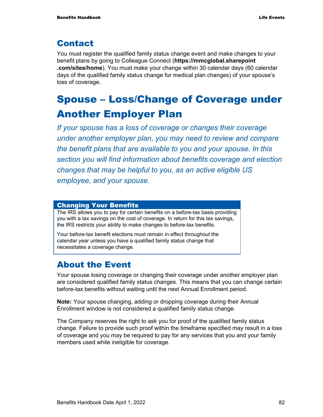## Contact

You must register the qualified family status change event and make changes to your benefit plans by going to Colleague Connect (**https://mmcglobal.sharepoint .com/sites/home**). You must make your change within 30 calendar days (60 calendar days of the qualified family status change for medical plan changes) of your spouse's loss of coverage.

# Spouse – Loss/Change of Coverage under Another Employer Plan

*If your spouse has a loss of coverage or changes their coverage under another employer plan, you may need to review and compare the benefit plans that are available to you and your spouse. In this section you will find information about benefits coverage and election changes that may be helpful to you, as an active eligible US employee, and your spouse.* 

#### Changing Your Benefits

The IRS allows you to pay for certain benefits on a before-tax basis providing you with a tax savings on the cost of coverage. In return for this tax savings, the IRS restricts your ability to make changes to before-tax benefits.

Your before-tax benefit elections must remain in effect throughout the calendar year unless you have a qualified family status change that necessitates a coverage change.

## About the Event

Your spouse losing coverage or changing their coverage under another employer plan are considered qualified family status changes. This means that you can change certain before-tax benefits without waiting until the next Annual Enrollment period.

**Note:** Your spouse changing, adding or dropping coverage during their Annual Enrollment window is not considered a qualified family status change.

The Company reserves the right to ask you for proof of the qualified family status change. Failure to provide such proof within the timeframe specified may result in a loss of coverage and you may be required to pay for any services that you and your family members used while ineligible for coverage.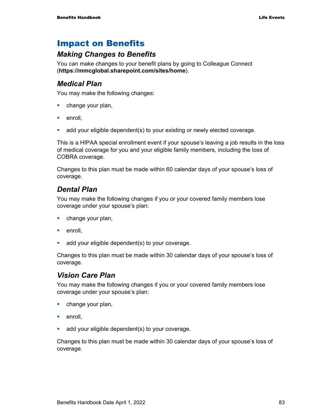## Impact on Benefits

## *Making Changes to Benefits*

You can make changes to your benefit plans by going to Colleague Connect (**https://mmcglobal.sharepoint.com/sites/home**).

### *Medical Plan*

You may make the following changes:

- **•** change your plan,
- **enroll**,
- add your eligible dependent(s) to your existing or newly elected coverage.

This is a HIPAA special enrollment event if your spouse's leaving a job results in the loss of medical coverage for you and your eligible family members, including the loss of COBRA coverage.

Changes to this plan must be made within 60 calendar days of your spouse's loss of coverage.

## *Dental Plan*

You may make the following changes if you or your covered family members lose coverage under your spouse's plan:

- **change your plan,**
- enroll.
- **add your eligible dependent(s) to your coverage.**

Changes to this plan must be made within 30 calendar days of your spouse's loss of coverage.

## *Vision Care Plan*

You may make the following changes if you or your covered family members lose coverage under your spouse's plan:

- **change your plan,**
- **enroll**.
- **add your eligible dependent(s) to your coverage.**

Changes to this plan must be made within 30 calendar days of your spouse's loss of coverage.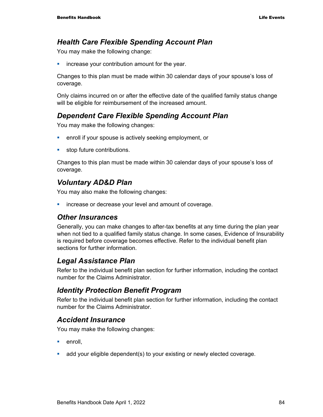## *Health Care Flexible Spending Account Plan*

You may make the following change:

**EXEDENT** increase your contribution amount for the year.

Changes to this plan must be made within 30 calendar days of your spouse's loss of coverage.

Only claims incurred on or after the effective date of the qualified family status change will be eligible for reimbursement of the increased amount.

## *Dependent Care Flexible Spending Account Plan*

You may make the following changes:

- **EXECT** enroll if your spouse is actively seeking employment, or
- **stop future contributions.**

Changes to this plan must be made within 30 calendar days of your spouse's loss of coverage.

## *Voluntary AD&D Plan*

You may also make the following changes:

**EXEDEE A** increase or decrease your level and amount of coverage.

#### *Other Insurances*

Generally, you can make changes to after-tax benefits at any time during the plan year when not tied to a qualified family status change. In some cases, Evidence of Insurability is required before coverage becomes effective. Refer to the individual benefit plan sections for further information.

## *Legal Assistance Plan*

Refer to the individual benefit plan section for further information, including the contact number for the Claims Administrator.

## *Identity Protection Benefit Program*

Refer to the individual benefit plan section for further information, including the contact number for the Claims Administrator.

## *Accident Insurance*

You may make the following changes:

- $e$ nroll.
- add your eligible dependent(s) to your existing or newly elected coverage.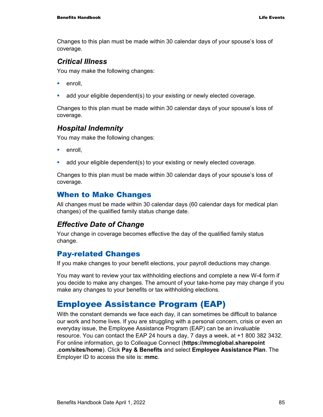Changes to this plan must be made within 30 calendar days of your spouse's loss of coverage.

### *Critical Illness*

You may make the following changes:

- $e$ nroll.
- add your eligible dependent(s) to your existing or newly elected coverage.

Changes to this plan must be made within 30 calendar days of your spouse's loss of coverage.

## *Hospital Indemnity*

You may make the following changes:

- $\blacksquare$  enroll.
- add your eligible dependent(s) to your existing or newly elected coverage.

Changes to this plan must be made within 30 calendar days of your spouse's loss of coverage.

## When to Make Changes

All changes must be made within 30 calendar days (60 calendar days for medical plan changes) of the qualified family status change date.

## *Effective Date of Change*

Your change in coverage becomes effective the day of the qualified family status change.

## Pay-related Changes

If you make changes to your benefit elections, your payroll deductions may change.

You may want to review your tax withholding elections and complete a new W-4 form if you decide to make any changes. The amount of your take-home pay may change if you make any changes to your benefits or tax withholding elections.

## Employee Assistance Program (EAP)

With the constant demands we face each day, it can sometimes be difficult to balance our work and home lives. If you are struggling with a personal concern, crisis or even an everyday issue, the Employee Assistance Program (EAP) can be an invaluable resource. You can contact the EAP 24 hours a day, 7 days a week, at +1 800 382 3432. For online information, go to Colleague Connect (**https://mmcglobal.sharepoint .com/sites/home**). Click **Pay & Benefits** and select **Employee Assistance Plan**. The Employer ID to access the site is: **mmc**.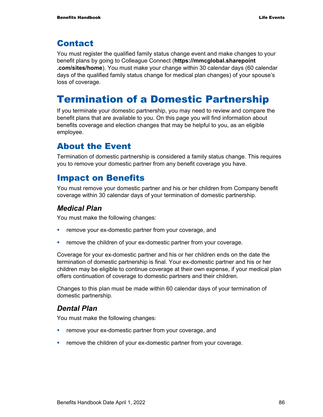## Contact

You must register the qualified family status change event and make changes to your benefit plans by going to Colleague Connect (**https://mmcglobal.sharepoint .com/sites/home**). You must make your change within 30 calendar days (60 calendar days of the qualified family status change for medical plan changes) of your spouse's loss of coverage.

# Termination of a Domestic Partnership

If you terminate your domestic partnership, you may need to review and compare the benefit plans that are available to you. On this page you will find information about benefits coverage and election changes that may be helpful to you, as an eligible employee.

## About the Event

Termination of domestic partnership is considered a family status change. This requires you to remove your domestic partner from any benefit coverage you have.

## Impact on Benefits

You must remove your domestic partner and his or her children from Company benefit coverage within 30 calendar days of your termination of domestic partnership.

## *Medical Plan*

You must make the following changes:

- **Fig. 2015** remove your ex-domestic partner from your coverage, and
- **Fuller** remove the children of your ex-domestic partner from your coverage.

Coverage for your ex-domestic partner and his or her children ends on the date the termination of domestic partnership is final. Your ex-domestic partner and his or her children may be eligible to continue coverage at their own expense, if your medical plan offers continuation of coverage to domestic partners and their children.

Changes to this plan must be made within 60 calendar days of your termination of domestic partnership.

## *Dental Plan*

You must make the following changes:

- **Fig. 2015** remove your ex-domestic partner from your coverage, and
- **•** remove the children of your ex-domestic partner from your coverage.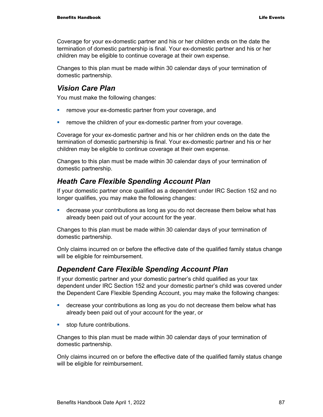Coverage for your ex-domestic partner and his or her children ends on the date the termination of domestic partnership is final. Your ex-domestic partner and his or her children may be eligible to continue coverage at their own expense.

Changes to this plan must be made within 30 calendar days of your termination of domestic partnership.

## *Vision Care Plan*

You must make the following changes:

- **F** remove your ex-domestic partner from your coverage, and
- remove the children of your ex-domestic partner from your coverage.

Coverage for your ex-domestic partner and his or her children ends on the date the termination of domestic partnership is final. Your ex-domestic partner and his or her children may be eligible to continue coverage at their own expense.

Changes to this plan must be made within 30 calendar days of your termination of domestic partnership.

## *Heath Care Flexible Spending Account Plan*

If your domestic partner once qualified as a dependent under IRC Section 152 and no longer qualifies, you may make the following changes:

 decrease your contributions as long as you do not decrease them below what has already been paid out of your account for the year.

Changes to this plan must be made within 30 calendar days of your termination of domestic partnership.

Only claims incurred on or before the effective date of the qualified family status change will be eligible for reimbursement.

## *Dependent Care Flexible Spending Account Plan*

If your domestic partner and your domestic partner's child qualified as your tax dependent under IRC Section 152 and your domestic partner's child was covered under the Dependent Care Flexible Spending Account, you may make the following changes:

- decrease your contributions as long as you do not decrease them below what has already been paid out of your account for the year, or
- **stop future contributions.**

Changes to this plan must be made within 30 calendar days of your termination of domestic partnership.

Only claims incurred on or before the effective date of the qualified family status change will be eligible for reimbursement.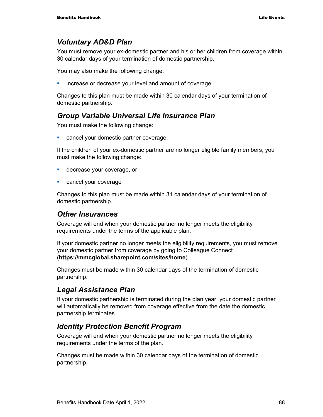## *Voluntary AD&D Plan*

You must remove your ex-domestic partner and his or her children from coverage within 30 calendar days of your termination of domestic partnership.

You may also make the following change:

**EXEDEE A** increase or decrease your level and amount of coverage.

Changes to this plan must be made within 30 calendar days of your termination of domestic partnership.

## *Group Variable Universal Life Insurance Plan*

You must make the following change:

**EXEC** cancel your domestic partner coverage.

If the children of your ex-domestic partner are no longer eligible family members, you must make the following change:

- **decrease your coverage, or**
- **Cancel your coverage**

Changes to this plan must be made within 31 calendar days of your termination of domestic partnership.

#### *Other Insurances*

Coverage will end when your domestic partner no longer meets the eligibility requirements under the terms of the applicable plan.

If your domestic partner no longer meets the eligibility requirements, you must remove your domestic partner from coverage by going to Colleague Connect (**https://mmcglobal.sharepoint.com/sites/home**).

Changes must be made within 30 calendar days of the termination of domestic partnership.

## *Legal Assistance Plan*

If your domestic partnership is terminated during the plan year, your domestic partner will automatically be removed from coverage effective from the date the domestic partnership terminates.

## *Identity Protection Benefit Program*

Coverage will end when your domestic partner no longer meets the eligibility requirements under the terms of the plan.

Changes must be made within 30 calendar days of the termination of domestic partnership.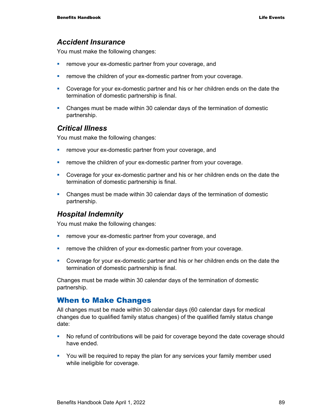#### *Accident Insurance*

You must make the following changes:

- **Fig. 2015** remove your ex-domestic partner from your coverage, and
- **F** remove the children of your ex-domestic partner from your coverage.
- Coverage for your ex-domestic partner and his or her children ends on the date the termination of domestic partnership is final.
- Changes must be made within 30 calendar days of the termination of domestic partnership.

#### *Critical Illness*

You must make the following changes:

- **Fig. 2** remove your ex-domestic partner from your coverage, and
- **•** remove the children of your ex-domestic partner from your coverage.
- Coverage for your ex-domestic partner and his or her children ends on the date the termination of domestic partnership is final.
- Changes must be made within 30 calendar days of the termination of domestic partnership.

#### *Hospital Indemnity*

You must make the following changes:

- **Fig. 2** remove your ex-domestic partner from your coverage, and
- **Fig. 2** remove the children of your ex-domestic partner from your coverage.
- Coverage for your ex-domestic partner and his or her children ends on the date the termination of domestic partnership is final.

Changes must be made within 30 calendar days of the termination of domestic partnership.

#### When to Make Changes

All changes must be made within 30 calendar days (60 calendar days for medical changes due to qualified family status changes) of the qualified family status change date:

- No refund of contributions will be paid for coverage beyond the date coverage should have ended.
- You will be required to repay the plan for any services your family member used while ineligible for coverage.